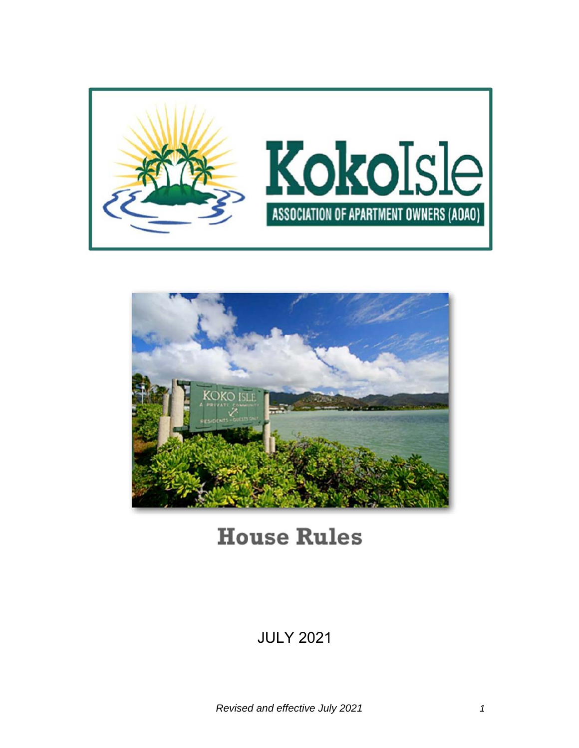



# **House Rules**

# JULY 2021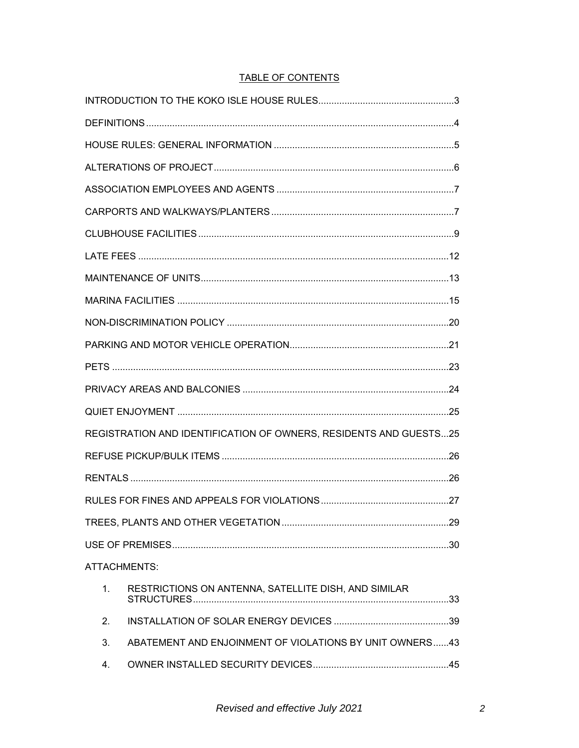# **TABLE OF CONTENTS**

| REGISTRATION AND IDENTIFICATION OF OWNERS, RESIDENTS AND GUESTS25 |                                                         |  |
|-------------------------------------------------------------------|---------------------------------------------------------|--|
|                                                                   |                                                         |  |
|                                                                   |                                                         |  |
|                                                                   |                                                         |  |
|                                                                   |                                                         |  |
|                                                                   |                                                         |  |
| ATTACHMENTS:                                                      |                                                         |  |
| 1.                                                                | RESTRICTIONS ON ANTENNA, SATELLITE DISH, AND SIMILAR    |  |
| 2.                                                                |                                                         |  |
| 3.                                                                | ABATEMENT AND ENJOINMENT OF VIOLATIONS BY UNIT OWNERS43 |  |
| 4.                                                                |                                                         |  |
|                                                                   |                                                         |  |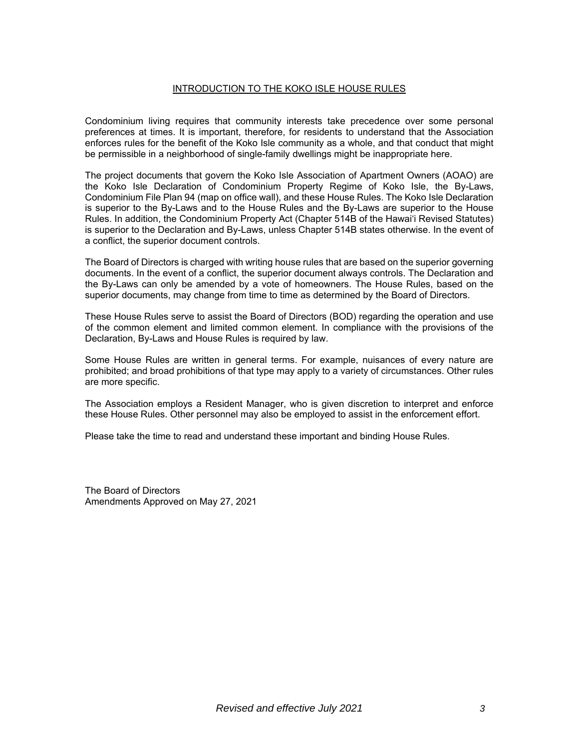#### INTRODUCTION TO THE KOKO ISLE HOUSE RULES

Condominium living requires that community interests take precedence over some personal preferences at times. It is important, therefore, for residents to understand that the Association enforces rules for the benefit of the Koko Isle community as a whole, and that conduct that might be permissible in a neighborhood of single-family dwellings might be inappropriate here.

The project documents that govern the Koko Isle Association of Apartment Owners (AOAO) are the Koko Isle Declaration of Condominium Property Regime of Koko Isle, the By-Laws, Condominium File Plan 94 (map on office wall), and these House Rules. The Koko Isle Declaration is superior to the By-Laws and to the House Rules and the By-Laws are superior to the House Rules. In addition, the Condominium Property Act (Chapter 514B of the Hawai'i Revised Statutes) is superior to the Declaration and By-Laws, unless Chapter 514B states otherwise. In the event of a conflict, the superior document controls.

The Board of Directors is charged with writing house rules that are based on the superior governing documents. In the event of a conflict, the superior document always controls. The Declaration and the By-Laws can only be amended by a vote of homeowners. The House Rules, based on the superior documents, may change from time to time as determined by the Board of Directors.

These House Rules serve to assist the Board of Directors (BOD) regarding the operation and use of the common element and limited common element. In compliance with the provisions of the Declaration, By-Laws and House Rules is required by law.

Some House Rules are written in general terms. For example, nuisances of every nature are prohibited; and broad prohibitions of that type may apply to a variety of circumstances. Other rules are more specific.

The Association employs a Resident Manager, who is given discretion to interpret and enforce these House Rules. Other personnel may also be employed to assist in the enforcement effort.

Please take the time to read and understand these important and binding House Rules.

The Board of Directors Amendments Approved on May 27, 2021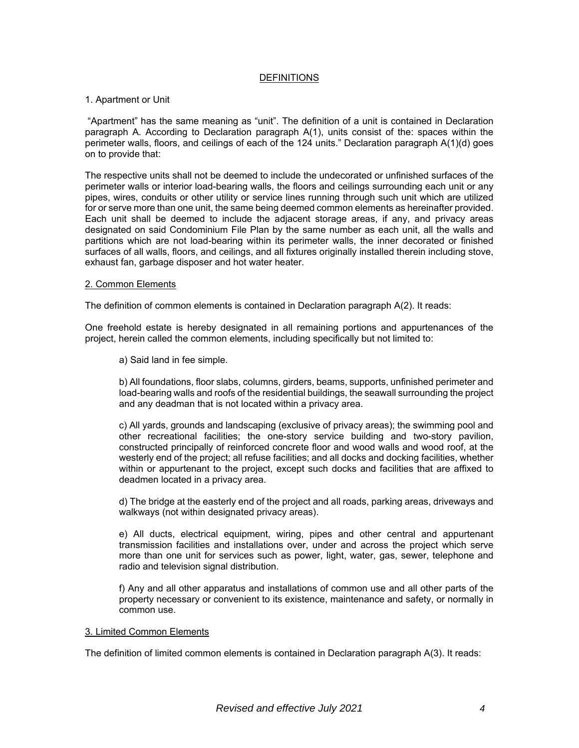#### DEFINITIONS

#### 1. Apartment or Unit

 "Apartment" has the same meaning as "unit". The definition of a unit is contained in Declaration paragraph A. According to Declaration paragraph A(1), units consist of the: spaces within the perimeter walls, floors, and ceilings of each of the 124 units." Declaration paragraph A(1)(d) goes on to provide that:

The respective units shall not be deemed to include the undecorated or unfinished surfaces of the perimeter walls or interior load-bearing walls, the floors and ceilings surrounding each unit or any pipes, wires, conduits or other utility or service lines running through such unit which are utilized for or serve more than one unit, the same being deemed common elements as hereinafter provided. Each unit shall be deemed to include the adjacent storage areas, if any, and privacy areas designated on said Condominium File Plan by the same number as each unit, all the walls and partitions which are not load-bearing within its perimeter walls, the inner decorated or finished surfaces of all walls, floors, and ceilings, and all fixtures originally installed therein including stove, exhaust fan, garbage disposer and hot water heater.

#### 2. Common Elements

The definition of common elements is contained in Declaration paragraph A(2). It reads:

One freehold estate is hereby designated in all remaining portions and appurtenances of the project, herein called the common elements, including specifically but not limited to:

a) Said land in fee simple.

b) All foundations, floor slabs, columns, girders, beams, supports, unfinished perimeter and load-bearing walls and roofs of the residential buildings, the seawall surrounding the project and any deadman that is not located within a privacy area.

c) All yards, grounds and landscaping (exclusive of privacy areas); the swimming pool and other recreational facilities; the one-story service building and two-story pavilion, constructed principally of reinforced concrete floor and wood walls and wood roof, at the westerly end of the project; all refuse facilities; and all docks and docking facilities, whether within or appurtenant to the project, except such docks and facilities that are affixed to deadmen located in a privacy area.

d) The bridge at the easterly end of the project and all roads, parking areas, driveways and walkways (not within designated privacy areas).

e) All ducts, electrical equipment, wiring, pipes and other central and appurtenant transmission facilities and installations over, under and across the project which serve more than one unit for services such as power, light, water, gas, sewer, telephone and radio and television signal distribution.

f) Any and all other apparatus and installations of common use and all other parts of the property necessary or convenient to its existence, maintenance and safety, or normally in common use.

#### 3. Limited Common Elements

The definition of limited common elements is contained in Declaration paragraph A(3). It reads: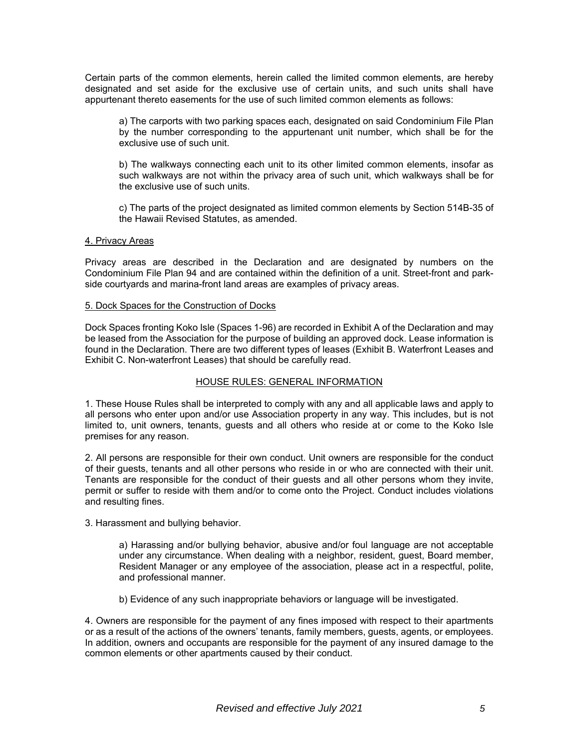Certain parts of the common elements, herein called the limited common elements, are hereby designated and set aside for the exclusive use of certain units, and such units shall have appurtenant thereto easements for the use of such limited common elements as follows:

a) The carports with two parking spaces each, designated on said Condominium File Plan by the number corresponding to the appurtenant unit number, which shall be for the exclusive use of such unit.

b) The walkways connecting each unit to its other limited common elements, insofar as such walkways are not within the privacy area of such unit, which walkways shall be for the exclusive use of such units.

c) The parts of the project designated as limited common elements by Section 514B-35 of the Hawaii Revised Statutes, as amended.

#### 4. Privacy Areas

Privacy areas are described in the Declaration and are designated by numbers on the Condominium File Plan 94 and are contained within the definition of a unit. Street-front and parkside courtyards and marina-front land areas are examples of privacy areas.

#### 5. Dock Spaces for the Construction of Docks

Dock Spaces fronting Koko Isle (Spaces 1-96) are recorded in Exhibit A of the Declaration and may be leased from the Association for the purpose of building an approved dock. Lease information is found in the Declaration. There are two different types of leases (Exhibit B. Waterfront Leases and Exhibit C. Non-waterfront Leases) that should be carefully read.

#### HOUSE RULES: GENERAL INFORMATION

1. These House Rules shall be interpreted to comply with any and all applicable laws and apply to all persons who enter upon and/or use Association property in any way. This includes, but is not limited to, unit owners, tenants, guests and all others who reside at or come to the Koko Isle premises for any reason.

2. All persons are responsible for their own conduct. Unit owners are responsible for the conduct of their guests, tenants and all other persons who reside in or who are connected with their unit. Tenants are responsible for the conduct of their guests and all other persons whom they invite, permit or suffer to reside with them and/or to come onto the Project. Conduct includes violations and resulting fines.

3. Harassment and bullying behavior.

a) Harassing and/or bullying behavior, abusive and/or foul language are not acceptable under any circumstance. When dealing with a neighbor, resident, guest, Board member, Resident Manager or any employee of the association, please act in a respectful, polite, and professional manner.

b) Evidence of any such inappropriate behaviors or language will be investigated.

4. Owners are responsible for the payment of any fines imposed with respect to their apartments or as a result of the actions of the owners' tenants, family members, guests, agents, or employees. In addition, owners and occupants are responsible for the payment of any insured damage to the common elements or other apartments caused by their conduct.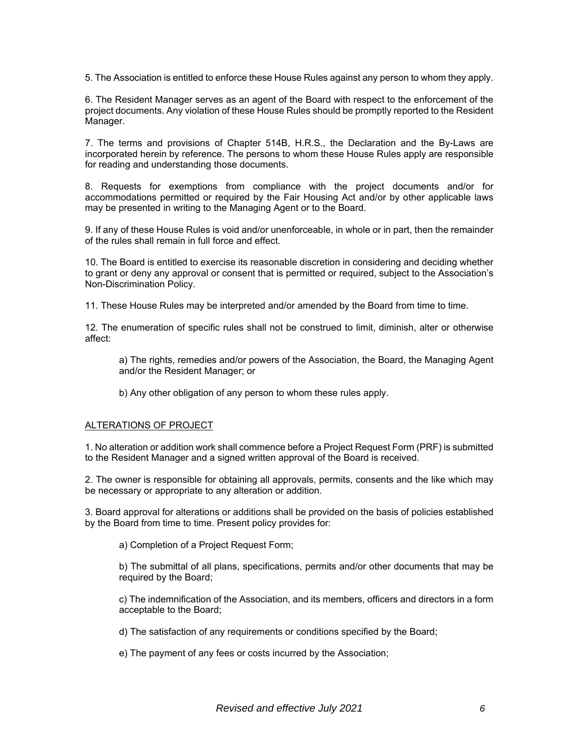5. The Association is entitled to enforce these House Rules against any person to whom they apply.

6. The Resident Manager serves as an agent of the Board with respect to the enforcement of the project documents. Any violation of these House Rules should be promptly reported to the Resident Manager.

7. The terms and provisions of Chapter 514B, H.R.S., the Declaration and the By-Laws are incorporated herein by reference. The persons to whom these House Rules apply are responsible for reading and understanding those documents.

8. Requests for exemptions from compliance with the project documents and/or for accommodations permitted or required by the Fair Housing Act and/or by other applicable laws may be presented in writing to the Managing Agent or to the Board.

9. If any of these House Rules is void and/or unenforceable, in whole or in part, then the remainder of the rules shall remain in full force and effect.

10. The Board is entitled to exercise its reasonable discretion in considering and deciding whether to grant or deny any approval or consent that is permitted or required, subject to the Association's Non-Discrimination Policy.

11. These House Rules may be interpreted and/or amended by the Board from time to time.

12. The enumeration of specific rules shall not be construed to limit, diminish, alter or otherwise affect:

a) The rights, remedies and/or powers of the Association, the Board, the Managing Agent and/or the Resident Manager; or

b) Any other obligation of any person to whom these rules apply.

#### ALTERATIONS OF PROJECT

1. No alteration or addition work shall commence before a Project Request Form (PRF) is submitted to the Resident Manager and a signed written approval of the Board is received.

2. The owner is responsible for obtaining all approvals, permits, consents and the like which may be necessary or appropriate to any alteration or addition.

3. Board approval for alterations or additions shall be provided on the basis of policies established by the Board from time to time. Present policy provides for:

a) Completion of a Project Request Form;

b) The submittal of all plans, specifications, permits and/or other documents that may be required by the Board;

c) The indemnification of the Association, and its members, officers and directors in a form acceptable to the Board;

d) The satisfaction of any requirements or conditions specified by the Board;

e) The payment of any fees or costs incurred by the Association;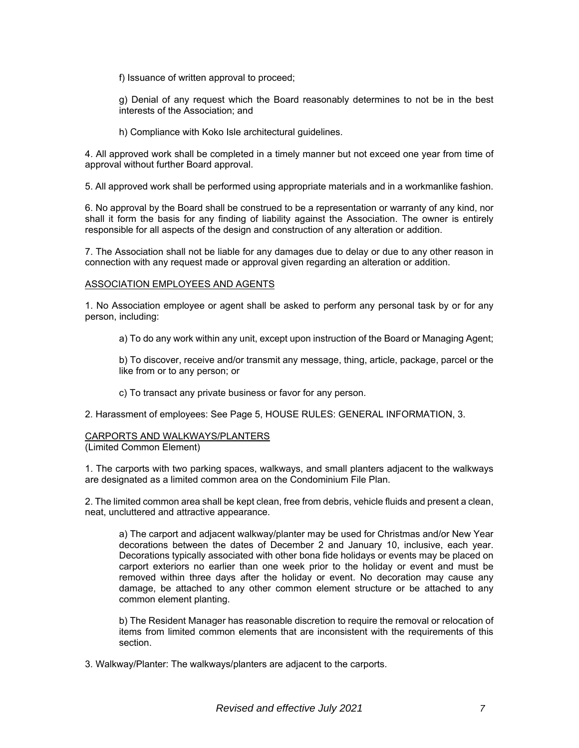f) Issuance of written approval to proceed;

g) Denial of any request which the Board reasonably determines to not be in the best interests of the Association; and

h) Compliance with Koko Isle architectural guidelines.

4. All approved work shall be completed in a timely manner but not exceed one year from time of approval without further Board approval.

5. All approved work shall be performed using appropriate materials and in a workmanlike fashion.

6. No approval by the Board shall be construed to be a representation or warranty of any kind, nor shall it form the basis for any finding of liability against the Association. The owner is entirely responsible for all aspects of the design and construction of any alteration or addition.

7. The Association shall not be liable for any damages due to delay or due to any other reason in connection with any request made or approval given regarding an alteration or addition.

#### ASSOCIATION EMPLOYEES AND AGENTS

1. No Association employee or agent shall be asked to perform any personal task by or for any person, including:

a) To do any work within any unit, except upon instruction of the Board or Managing Agent;

b) To discover, receive and/or transmit any message, thing, article, package, parcel or the like from or to any person; or

c) To transact any private business or favor for any person.

2. Harassment of employees: See Page 5, HOUSE RULES: GENERAL INFORMATION, 3.

#### CARPORTS AND WALKWAYS/PLANTERS

(Limited Common Element)

1. The carports with two parking spaces, walkways, and small planters adjacent to the walkways are designated as a limited common area on the Condominium File Plan.

2. The limited common area shall be kept clean, free from debris, vehicle fluids and present a clean, neat, uncluttered and attractive appearance.

a) The carport and adjacent walkway/planter may be used for Christmas and/or New Year decorations between the dates of December 2 and January 10, inclusive, each year. Decorations typically associated with other bona fide holidays or events may be placed on carport exteriors no earlier than one week prior to the holiday or event and must be removed within three days after the holiday or event. No decoration may cause any damage, be attached to any other common element structure or be attached to any common element planting.

b) The Resident Manager has reasonable discretion to require the removal or relocation of items from limited common elements that are inconsistent with the requirements of this section.

3. Walkway/Planter: The walkways/planters are adjacent to the carports.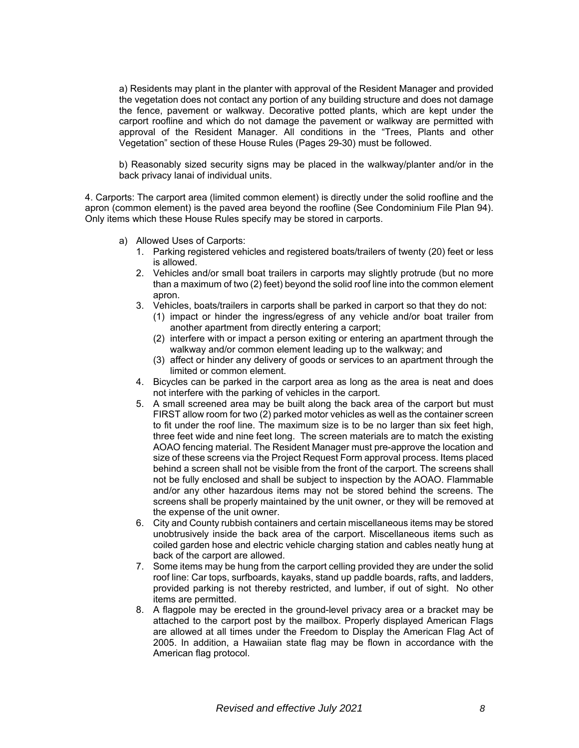a) Residents may plant in the planter with approval of the Resident Manager and provided the vegetation does not contact any portion of any building structure and does not damage the fence, pavement or walkway. Decorative potted plants, which are kept under the carport roofline and which do not damage the pavement or walkway are permitted with approval of the Resident Manager. All conditions in the "Trees, Plants and other Vegetation" section of these House Rules (Pages 29-30) must be followed.

b) Reasonably sized security signs may be placed in the walkway/planter and/or in the back privacy lanai of individual units.

4. Carports: The carport area (limited common element) is directly under the solid roofline and the apron (common element) is the paved area beyond the roofline (See Condominium File Plan 94). Only items which these House Rules specify may be stored in carports.

- a) Allowed Uses of Carports:
	- 1. Parking registered vehicles and registered boats/trailers of twenty (20) feet or less is allowed.
	- 2. Vehicles and/or small boat trailers in carports may slightly protrude (but no more than a maximum of two (2) feet) beyond the solid roof line into the common element apron.
	- 3. Vehicles, boats/trailers in carports shall be parked in carport so that they do not:
		- (1) impact or hinder the ingress/egress of any vehicle and/or boat trailer from another apartment from directly entering a carport;
		- (2) interfere with or impact a person exiting or entering an apartment through the walkway and/or common element leading up to the walkway; and
		- (3) affect or hinder any delivery of goods or services to an apartment through the limited or common element.
	- 4. Bicycles can be parked in the carport area as long as the area is neat and does not interfere with the parking of vehicles in the carport.
	- 5. A small screened area may be built along the back area of the carport but must FIRST allow room for two (2) parked motor vehicles as well as the container screen to fit under the roof line. The maximum size is to be no larger than six feet high, three feet wide and nine feet long. The screen materials are to match the existing AOAO fencing material. The Resident Manager must pre-approve the location and size of these screens via the Project Request Form approval process. Items placed behind a screen shall not be visible from the front of the carport. The screens shall not be fully enclosed and shall be subject to inspection by the AOAO. Flammable and/or any other hazardous items may not be stored behind the screens. The screens shall be properly maintained by the unit owner, or they will be removed at the expense of the unit owner.
	- 6. City and County rubbish containers and certain miscellaneous items may be stored unobtrusively inside the back area of the carport. Miscellaneous items such as coiled garden hose and electric vehicle charging station and cables neatly hung at back of the carport are allowed.
	- 7. Some items may be hung from the carport celling provided they are under the solid roof line: Car tops, surfboards, kayaks, stand up paddle boards, rafts, and ladders, provided parking is not thereby restricted, and lumber, if out of sight. No other items are permitted.
	- 8. A flagpole may be erected in the ground-level privacy area or a bracket may be attached to the carport post by the mailbox. Properly displayed American Flags are allowed at all times under the Freedom to Display the American Flag Act of 2005. In addition, a Hawaiian state flag may be flown in accordance with the American flag protocol.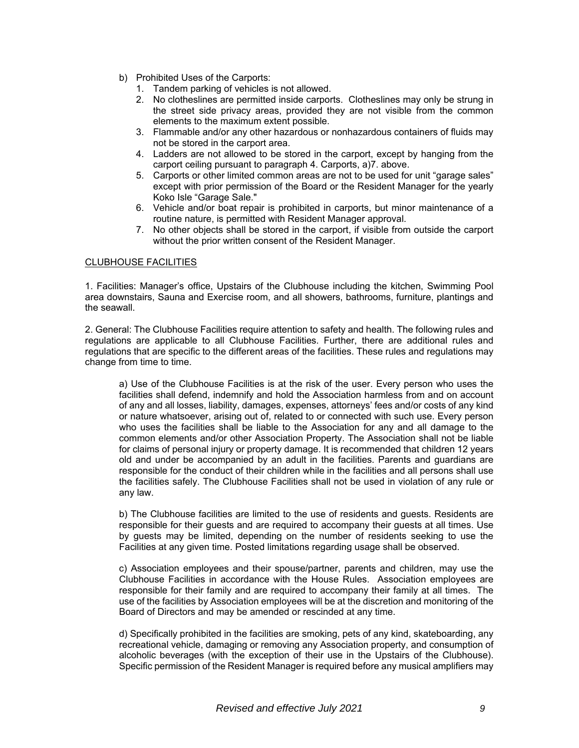- b) Prohibited Uses of the Carports:
	- 1. Tandem parking of vehicles is not allowed.
	- 2. No clotheslines are permitted inside carports. Clotheslines may only be strung in the street side privacy areas, provided they are not visible from the common elements to the maximum extent possible.
	- 3. Flammable and/or any other hazardous or nonhazardous containers of fluids may not be stored in the carport area.
	- 4. Ladders are not allowed to be stored in the carport, except by hanging from the carport ceiling pursuant to paragraph 4. Carports, a)7. above.
	- 5. Carports or other limited common areas are not to be used for unit "garage sales" except with prior permission of the Board or the Resident Manager for the yearly Koko Isle "Garage Sale."
	- 6. Vehicle and/or boat repair is prohibited in carports, but minor maintenance of a routine nature, is permitted with Resident Manager approval.
	- 7. No other objects shall be stored in the carport, if visible from outside the carport without the prior written consent of the Resident Manager.

#### CLUBHOUSE FACILITIES

1. Facilities: Manager's office, Upstairs of the Clubhouse including the kitchen, Swimming Pool area downstairs, Sauna and Exercise room, and all showers, bathrooms, furniture, plantings and the seawall.

2. General: The Clubhouse Facilities require attention to safety and health. The following rules and regulations are applicable to all Clubhouse Facilities. Further, there are additional rules and regulations that are specific to the different areas of the facilities. These rules and regulations may change from time to time.

a) Use of the Clubhouse Facilities is at the risk of the user. Every person who uses the facilities shall defend, indemnify and hold the Association harmless from and on account of any and all losses, liability, damages, expenses, attorneys' fees and/or costs of any kind or nature whatsoever, arising out of, related to or connected with such use. Every person who uses the facilities shall be liable to the Association for any and all damage to the common elements and/or other Association Property. The Association shall not be liable for claims of personal injury or property damage. It is recommended that children 12 years old and under be accompanied by an adult in the facilities. Parents and guardians are responsible for the conduct of their children while in the facilities and all persons shall use the facilities safely. The Clubhouse Facilities shall not be used in violation of any rule or any law.

b) The Clubhouse facilities are limited to the use of residents and guests. Residents are responsible for their guests and are required to accompany their guests at all times. Use by guests may be limited, depending on the number of residents seeking to use the Facilities at any given time. Posted limitations regarding usage shall be observed.

c) Association employees and their spouse/partner, parents and children, may use the Clubhouse Facilities in accordance with the House Rules. Association employees are responsible for their family and are required to accompany their family at all times. The use of the facilities by Association employees will be at the discretion and monitoring of the Board of Directors and may be amended or rescinded at any time.

d) Specifically prohibited in the facilities are smoking, pets of any kind, skateboarding, any recreational vehicle, damaging or removing any Association property, and consumption of alcoholic beverages (with the exception of their use in the Upstairs of the Clubhouse). Specific permission of the Resident Manager is required before any musical amplifiers may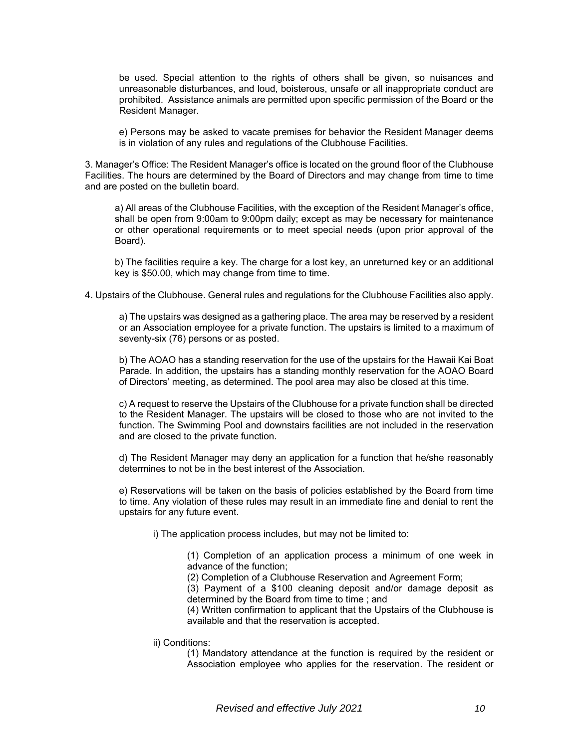be used. Special attention to the rights of others shall be given, so nuisances and unreasonable disturbances, and loud, boisterous, unsafe or all inappropriate conduct are prohibited. Assistance animals are permitted upon specific permission of the Board or the Resident Manager.

e) Persons may be asked to vacate premises for behavior the Resident Manager deems is in violation of any rules and regulations of the Clubhouse Facilities.

3. Manager's Office: The Resident Manager's office is located on the ground floor of the Clubhouse Facilities. The hours are determined by the Board of Directors and may change from time to time and are posted on the bulletin board.

a) All areas of the Clubhouse Facilities, with the exception of the Resident Manager's office, shall be open from 9:00am to 9:00pm daily; except as may be necessary for maintenance or other operational requirements or to meet special needs (upon prior approval of the Board).

b) The facilities require a key. The charge for a lost key, an unreturned key or an additional key is \$50.00, which may change from time to time.

#### 4. Upstairs of the Clubhouse. General rules and regulations for the Clubhouse Facilities also apply.

a) The upstairs was designed as a gathering place. The area may be reserved by a resident or an Association employee for a private function. The upstairs is limited to a maximum of seventy-six (76) persons or as posted.

b) The AOAO has a standing reservation for the use of the upstairs for the Hawaii Kai Boat Parade. In addition, the upstairs has a standing monthly reservation for the AOAO Board of Directors' meeting, as determined. The pool area may also be closed at this time.

c) A request to reserve the Upstairs of the Clubhouse for a private function shall be directed to the Resident Manager. The upstairs will be closed to those who are not invited to the function. The Swimming Pool and downstairs facilities are not included in the reservation and are closed to the private function.

d) The Resident Manager may deny an application for a function that he/she reasonably determines to not be in the best interest of the Association.

e) Reservations will be taken on the basis of policies established by the Board from time to time. Any violation of these rules may result in an immediate fine and denial to rent the upstairs for any future event.

i) The application process includes, but may not be limited to:

(1) Completion of an application process a minimum of one week in advance of the function;

(2) Completion of a Clubhouse Reservation and Agreement Form;

(3) Payment of a \$100 cleaning deposit and/or damage deposit as determined by the Board from time to time ; and

(4) Written confirmation to applicant that the Upstairs of the Clubhouse is available and that the reservation is accepted.

ii) Conditions:

(1) Mandatory attendance at the function is required by the resident or Association employee who applies for the reservation. The resident or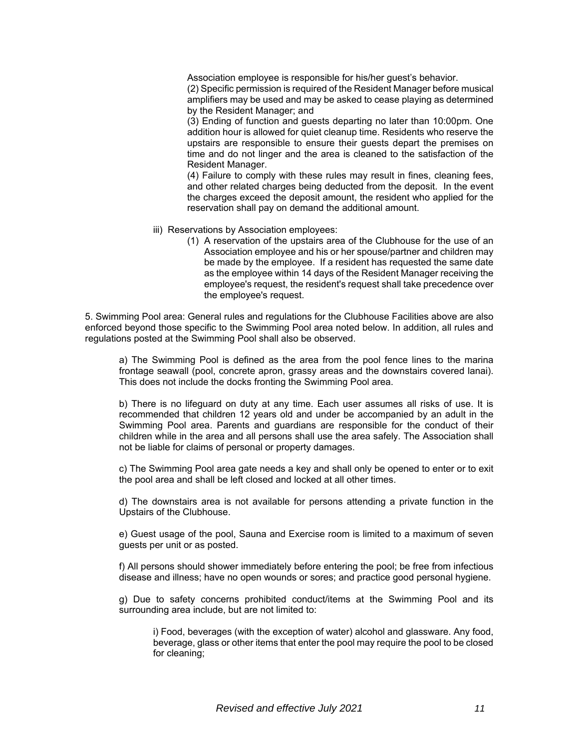Association employee is responsible for his/her guest's behavior. (2) Specific permission is required of the Resident Manager before musical amplifiers may be used and may be asked to cease playing as determined by the Resident Manager; and

(3) Ending of function and guests departing no later than 10:00pm. One addition hour is allowed for quiet cleanup time. Residents who reserve the upstairs are responsible to ensure their guests depart the premises on time and do not linger and the area is cleaned to the satisfaction of the Resident Manager.

(4) Failure to comply with these rules may result in fines, cleaning fees, and other related charges being deducted from the deposit. In the event the charges exceed the deposit amount, the resident who applied for the reservation shall pay on demand the additional amount.

- iii) Reservations by Association employees:
	- (1) A reservation of the upstairs area of the Clubhouse for the use of an Association employee and his or her spouse/partner and children may be made by the employee. If a resident has requested the same date as the employee within 14 days of the Resident Manager receiving the employee's request, the resident's request shall take precedence over the employee's request.

5. Swimming Pool area: General rules and regulations for the Clubhouse Facilities above are also enforced beyond those specific to the Swimming Pool area noted below. In addition, all rules and regulations posted at the Swimming Pool shall also be observed.

a) The Swimming Pool is defined as the area from the pool fence lines to the marina frontage seawall (pool, concrete apron, grassy areas and the downstairs covered lanai). This does not include the docks fronting the Swimming Pool area.

b) There is no lifeguard on duty at any time. Each user assumes all risks of use. It is recommended that children 12 years old and under be accompanied by an adult in the Swimming Pool area. Parents and guardians are responsible for the conduct of their children while in the area and all persons shall use the area safely. The Association shall not be liable for claims of personal or property damages.

c) The Swimming Pool area gate needs a key and shall only be opened to enter or to exit the pool area and shall be left closed and locked at all other times.

d) The downstairs area is not available for persons attending a private function in the Upstairs of the Clubhouse.

e) Guest usage of the pool, Sauna and Exercise room is limited to a maximum of seven guests per unit or as posted.

f) All persons should shower immediately before entering the pool; be free from infectious disease and illness; have no open wounds or sores; and practice good personal hygiene.

g) Due to safety concerns prohibited conduct/items at the Swimming Pool and its surrounding area include, but are not limited to:

i) Food, beverages (with the exception of water) alcohol and glassware. Any food, beverage, glass or other items that enter the pool may require the pool to be closed for cleaning;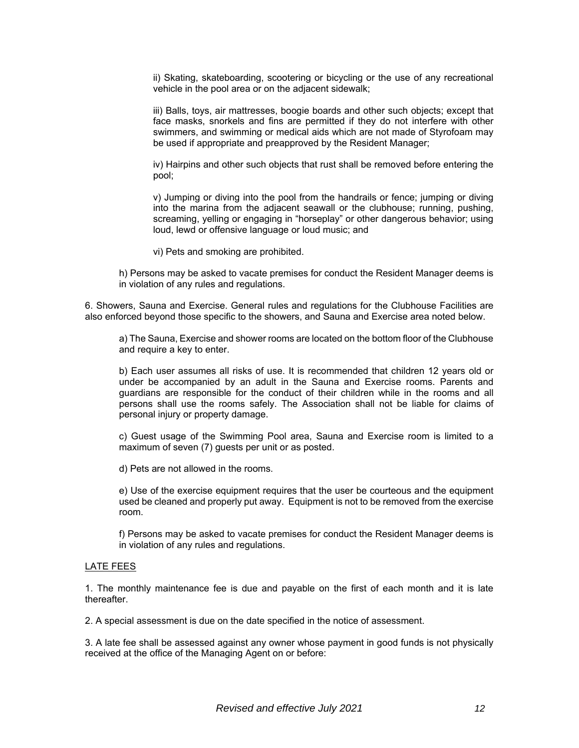ii) Skating, skateboarding, scootering or bicycling or the use of any recreational vehicle in the pool area or on the adjacent sidewalk;

iii) Balls, toys, air mattresses, boogie boards and other such objects; except that face masks, snorkels and fins are permitted if they do not interfere with other swimmers, and swimming or medical aids which are not made of Styrofoam may be used if appropriate and preapproved by the Resident Manager;

iv) Hairpins and other such objects that rust shall be removed before entering the pool;

v) Jumping or diving into the pool from the handrails or fence; jumping or diving into the marina from the adjacent seawall or the clubhouse; running, pushing, screaming, yelling or engaging in "horseplay" or other dangerous behavior; using loud, lewd or offensive language or loud music; and

vi) Pets and smoking are prohibited.

h) Persons may be asked to vacate premises for conduct the Resident Manager deems is in violation of any rules and regulations.

6. Showers, Sauna and Exercise. General rules and regulations for the Clubhouse Facilities are also enforced beyond those specific to the showers, and Sauna and Exercise area noted below.

a) The Sauna, Exercise and shower rooms are located on the bottom floor of the Clubhouse and require a key to enter.

b) Each user assumes all risks of use. It is recommended that children 12 years old or under be accompanied by an adult in the Sauna and Exercise rooms. Parents and guardians are responsible for the conduct of their children while in the rooms and all persons shall use the rooms safely. The Association shall not be liable for claims of personal injury or property damage.

c) Guest usage of the Swimming Pool area, Sauna and Exercise room is limited to a maximum of seven (7) guests per unit or as posted.

d) Pets are not allowed in the rooms.

e) Use of the exercise equipment requires that the user be courteous and the equipment used be cleaned and properly put away. Equipment is not to be removed from the exercise room.

f) Persons may be asked to vacate premises for conduct the Resident Manager deems is in violation of any rules and regulations.

#### LATE FEES

1. The monthly maintenance fee is due and payable on the first of each month and it is late thereafter.

2. A special assessment is due on the date specified in the notice of assessment.

3. A late fee shall be assessed against any owner whose payment in good funds is not physically received at the office of the Managing Agent on or before: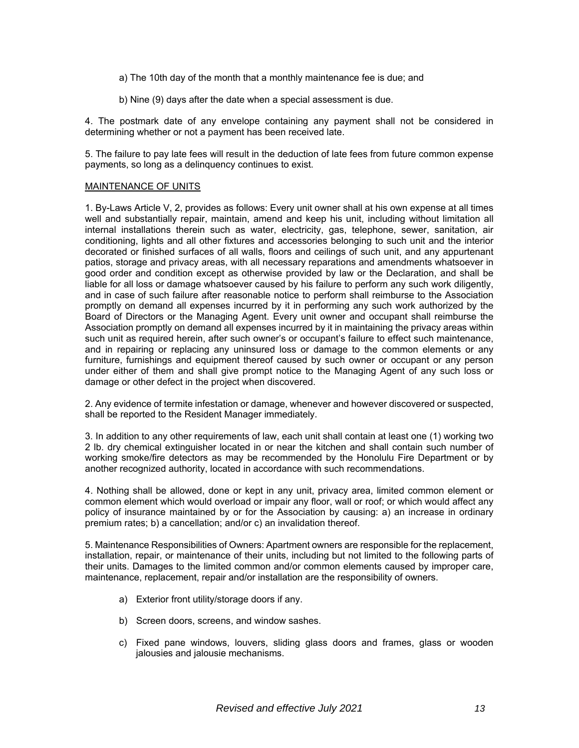- a) The 10th day of the month that a monthly maintenance fee is due; and
- b) Nine (9) days after the date when a special assessment is due.

4. The postmark date of any envelope containing any payment shall not be considered in determining whether or not a payment has been received late.

5. The failure to pay late fees will result in the deduction of late fees from future common expense payments, so long as a delinquency continues to exist.

#### MAINTENANCE OF UNITS

1. By-Laws Article V, 2, provides as follows: Every unit owner shall at his own expense at all times well and substantially repair, maintain, amend and keep his unit, including without limitation all internal installations therein such as water, electricity, gas, telephone, sewer, sanitation, air conditioning, lights and all other fixtures and accessories belonging to such unit and the interior decorated or finished surfaces of all walls, floors and ceilings of such unit, and any appurtenant patios, storage and privacy areas, with all necessary reparations and amendments whatsoever in good order and condition except as otherwise provided by law or the Declaration, and shall be liable for all loss or damage whatsoever caused by his failure to perform any such work diligently, and in case of such failure after reasonable notice to perform shall reimburse to the Association promptly on demand all expenses incurred by it in performing any such work authorized by the Board of Directors or the Managing Agent. Every unit owner and occupant shall reimburse the Association promptly on demand all expenses incurred by it in maintaining the privacy areas within such unit as required herein, after such owner's or occupant's failure to effect such maintenance, and in repairing or replacing any uninsured loss or damage to the common elements or any furniture, furnishings and equipment thereof caused by such owner or occupant or any person under either of them and shall give prompt notice to the Managing Agent of any such loss or damage or other defect in the project when discovered.

2. Any evidence of termite infestation or damage, whenever and however discovered or suspected, shall be reported to the Resident Manager immediately.

3. In addition to any other requirements of law, each unit shall contain at least one (1) working two 2 lb. dry chemical extinguisher located in or near the kitchen and shall contain such number of working smoke/fire detectors as may be recommended by the Honolulu Fire Department or by another recognized authority, located in accordance with such recommendations.

4. Nothing shall be allowed, done or kept in any unit, privacy area, limited common element or common element which would overload or impair any floor, wall or roof; or which would affect any policy of insurance maintained by or for the Association by causing: a) an increase in ordinary premium rates; b) a cancellation; and/or c) an invalidation thereof.

5. Maintenance Responsibilities of Owners: Apartment owners are responsible for the replacement, installation, repair, or maintenance of their units, including but not limited to the following parts of their units. Damages to the limited common and/or common elements caused by improper care, maintenance, replacement, repair and/or installation are the responsibility of owners.

- a) Exterior front utility/storage doors if any.
- b) Screen doors, screens, and window sashes.
- c) Fixed pane windows, louvers, sliding glass doors and frames, glass or wooden jalousies and jalousie mechanisms.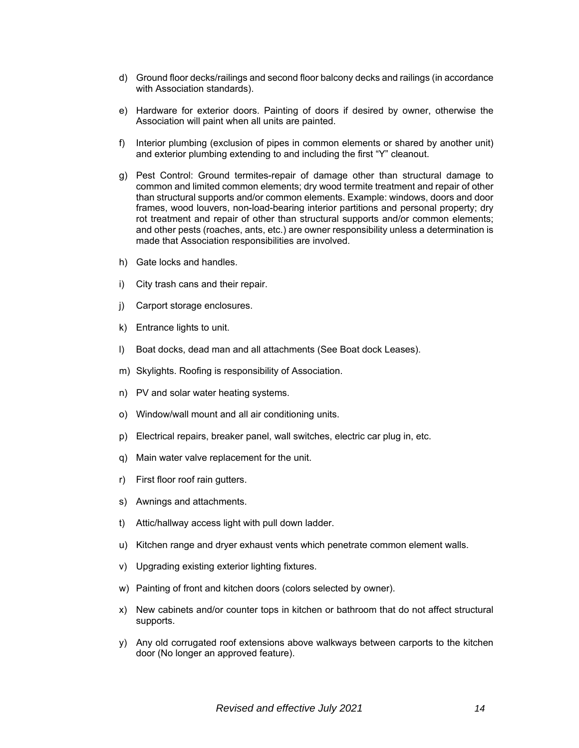- d) Ground floor decks/railings and second floor balcony decks and railings (in accordance with Association standards).
- e) Hardware for exterior doors. Painting of doors if desired by owner, otherwise the Association will paint when all units are painted.
- f) Interior plumbing (exclusion of pipes in common elements or shared by another unit) and exterior plumbing extending to and including the first "Y" cleanout.
- g) Pest Control: Ground termites-repair of damage other than structural damage to common and limited common elements; dry wood termite treatment and repair of other than structural supports and/or common elements. Example: windows, doors and door frames, wood louvers, non-load-bearing interior partitions and personal property; dry rot treatment and repair of other than structural supports and/or common elements; and other pests (roaches, ants, etc.) are owner responsibility unless a determination is made that Association responsibilities are involved.
- h) Gate locks and handles.
- i) City trash cans and their repair.
- j) Carport storage enclosures.
- k) Entrance lights to unit.
- l) Boat docks, dead man and all attachments (See Boat dock Leases).
- m) Skylights. Roofing is responsibility of Association.
- n) PV and solar water heating systems.
- o) Window/wall mount and all air conditioning units.
- p) Electrical repairs, breaker panel, wall switches, electric car plug in, etc.
- q) Main water valve replacement for the unit.
- r) First floor roof rain gutters.
- s) Awnings and attachments.
- t) Attic/hallway access light with pull down ladder.
- u) Kitchen range and dryer exhaust vents which penetrate common element walls.
- v) Upgrading existing exterior lighting fixtures.
- w) Painting of front and kitchen doors (colors selected by owner).
- x) New cabinets and/or counter tops in kitchen or bathroom that do not affect structural supports.
- y) Any old corrugated roof extensions above walkways between carports to the kitchen door (No longer an approved feature).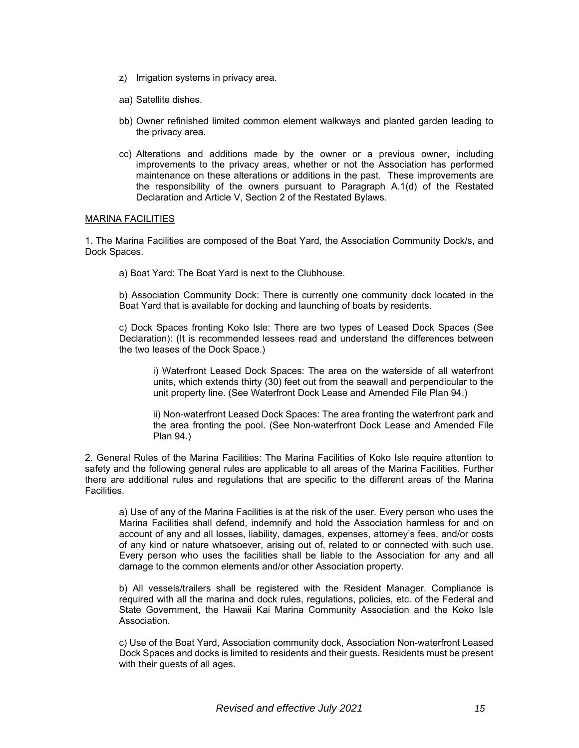- z) Irrigation systems in privacy area.
- aa) Satellite dishes.
- bb) Owner refinished limited common element walkways and planted garden leading to the privacy area.
- cc) Alterations and additions made by the owner or a previous owner, including improvements to the privacy areas, whether or not the Association has performed maintenance on these alterations or additions in the past. These improvements are the responsibility of the owners pursuant to Paragraph A.1(d) of the Restated Declaration and Article V, Section 2 of the Restated Bylaws.

#### MARINA FACILITIES

1. The Marina Facilities are composed of the Boat Yard, the Association Community Dock/s, and Dock Spaces.

a) Boat Yard: The Boat Yard is next to the Clubhouse.

b) Association Community Dock: There is currently one community dock located in the Boat Yard that is available for docking and launching of boats by residents.

c) Dock Spaces fronting Koko Isle: There are two types of Leased Dock Spaces (See Declaration): (It is recommended lessees read and understand the differences between the two leases of the Dock Space.)

i) Waterfront Leased Dock Spaces: The area on the waterside of all waterfront units, which extends thirty (30) feet out from the seawall and perpendicular to the unit property line. (See Waterfront Dock Lease and Amended File Plan 94.)

ii) Non-waterfront Leased Dock Spaces: The area fronting the waterfront park and the area fronting the pool. (See Non-waterfront Dock Lease and Amended File Plan 94.)

2. General Rules of the Marina Facilities: The Marina Facilities of Koko Isle require attention to safety and the following general rules are applicable to all areas of the Marina Facilities. Further there are additional rules and regulations that are specific to the different areas of the Marina Facilities.

a) Use of any of the Marina Facilities is at the risk of the user. Every person who uses the Marina Facilities shall defend, indemnify and hold the Association harmless for and on account of any and all losses, liability, damages, expenses, attorney's fees, and/or costs of any kind or nature whatsoever, arising out of, related to or connected with such use. Every person who uses the facilities shall be liable to the Association for any and all damage to the common elements and/or other Association property.

b) All vessels/trailers shall be registered with the Resident Manager. Compliance is required with all the marina and dock rules, regulations, policies, etc. of the Federal and State Government, the Hawaii Kai Marina Community Association and the Koko Isle Association.

c) Use of the Boat Yard, Association community dock, Association Non-waterfront Leased Dock Spaces and docks is limited to residents and their guests. Residents must be present with their guests of all ages.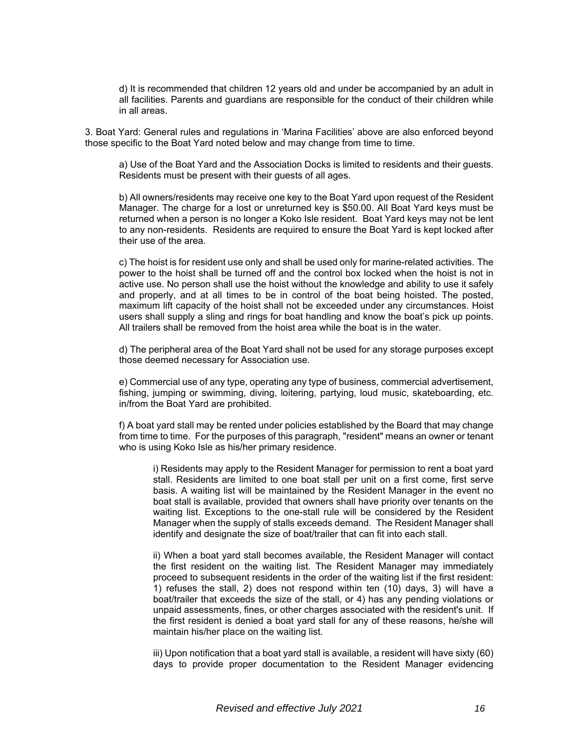d) It is recommended that children 12 years old and under be accompanied by an adult in all facilities. Parents and guardians are responsible for the conduct of their children while in all areas.

3. Boat Yard: General rules and regulations in 'Marina Facilities' above are also enforced beyond those specific to the Boat Yard noted below and may change from time to time.

a) Use of the Boat Yard and the Association Docks is limited to residents and their guests. Residents must be present with their guests of all ages.

b) All owners/residents may receive one key to the Boat Yard upon request of the Resident Manager. The charge for a lost or unreturned key is \$50.00. All Boat Yard keys must be returned when a person is no longer a Koko Isle resident. Boat Yard keys may not be lent to any non-residents. Residents are required to ensure the Boat Yard is kept locked after their use of the area.

c) The hoist is for resident use only and shall be used only for marine-related activities. The power to the hoist shall be turned off and the control box locked when the hoist is not in active use. No person shall use the hoist without the knowledge and ability to use it safely and properly, and at all times to be in control of the boat being hoisted. The posted, maximum lift capacity of the hoist shall not be exceeded under any circumstances. Hoist users shall supply a sling and rings for boat handling and know the boat's pick up points. All trailers shall be removed from the hoist area while the boat is in the water.

d) The peripheral area of the Boat Yard shall not be used for any storage purposes except those deemed necessary for Association use.

e) Commercial use of any type, operating any type of business, commercial advertisement, fishing, jumping or swimming, diving, loitering, partying, loud music, skateboarding, etc. in/from the Boat Yard are prohibited.

f) A boat yard stall may be rented under policies established by the Board that may change from time to time. For the purposes of this paragraph, "resident" means an owner or tenant who is using Koko Isle as his/her primary residence.

i) Residents may apply to the Resident Manager for permission to rent a boat yard stall. Residents are limited to one boat stall per unit on a first come, first serve basis. A waiting list will be maintained by the Resident Manager in the event no boat stall is available, provided that owners shall have priority over tenants on the waiting list. Exceptions to the one-stall rule will be considered by the Resident Manager when the supply of stalls exceeds demand. The Resident Manager shall identify and designate the size of boat/trailer that can fit into each stall.

ii) When a boat yard stall becomes available, the Resident Manager will contact the first resident on the waiting list. The Resident Manager may immediately proceed to subsequent residents in the order of the waiting list if the first resident: 1) refuses the stall, 2) does not respond within ten (10) days, 3) will have a boat/trailer that exceeds the size of the stall, or 4) has any pending violations or unpaid assessments, fines, or other charges associated with the resident's unit. If the first resident is denied a boat yard stall for any of these reasons, he/she will maintain his/her place on the waiting list.

iii) Upon notification that a boat yard stall is available, a resident will have sixty (60) days to provide proper documentation to the Resident Manager evidencing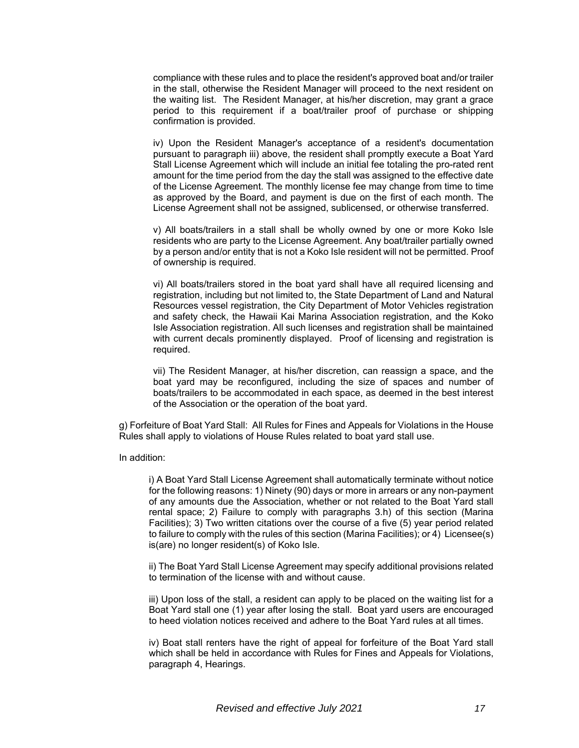compliance with these rules and to place the resident's approved boat and/or trailer in the stall, otherwise the Resident Manager will proceed to the next resident on the waiting list. The Resident Manager, at his/her discretion, may grant a grace period to this requirement if a boat/trailer proof of purchase or shipping confirmation is provided.

iv) Upon the Resident Manager's acceptance of a resident's documentation pursuant to paragraph iii) above, the resident shall promptly execute a Boat Yard Stall License Agreement which will include an initial fee totaling the pro-rated rent amount for the time period from the day the stall was assigned to the effective date of the License Agreement. The monthly license fee may change from time to time as approved by the Board, and payment is due on the first of each month. The License Agreement shall not be assigned, sublicensed, or otherwise transferred.

v) All boats/trailers in a stall shall be wholly owned by one or more Koko Isle residents who are party to the License Agreement. Any boat/trailer partially owned by a person and/or entity that is not a Koko Isle resident will not be permitted. Proof of ownership is required.

vi) All boats/trailers stored in the boat yard shall have all required licensing and registration, including but not limited to, the State Department of Land and Natural Resources vessel registration, the City Department of Motor Vehicles registration and safety check, the Hawaii Kai Marina Association registration, and the Koko Isle Association registration. All such licenses and registration shall be maintained with current decals prominently displayed. Proof of licensing and registration is required.

vii) The Resident Manager, at his/her discretion, can reassign a space, and the boat yard may be reconfigured, including the size of spaces and number of boats/trailers to be accommodated in each space, as deemed in the best interest of the Association or the operation of the boat yard.

g) Forfeiture of Boat Yard Stall: All Rules for Fines and Appeals for Violations in the House Rules shall apply to violations of House Rules related to boat yard stall use.

In addition:

i) A Boat Yard Stall License Agreement shall automatically terminate without notice for the following reasons: 1) Ninety (90) days or more in arrears or any non-payment of any amounts due the Association, whether or not related to the Boat Yard stall rental space; 2) Failure to comply with paragraphs 3.h) of this section (Marina Facilities); 3) Two written citations over the course of a five (5) year period related to failure to comply with the rules of this section (Marina Facilities); or 4) Licensee(s) is(are) no longer resident(s) of Koko Isle.

ii) The Boat Yard Stall License Agreement may specify additional provisions related to termination of the license with and without cause.

iii) Upon loss of the stall, a resident can apply to be placed on the waiting list for a Boat Yard stall one (1) year after losing the stall. Boat yard users are encouraged to heed violation notices received and adhere to the Boat Yard rules at all times.

iv) Boat stall renters have the right of appeal for forfeiture of the Boat Yard stall which shall be held in accordance with Rules for Fines and Appeals for Violations, paragraph 4, Hearings.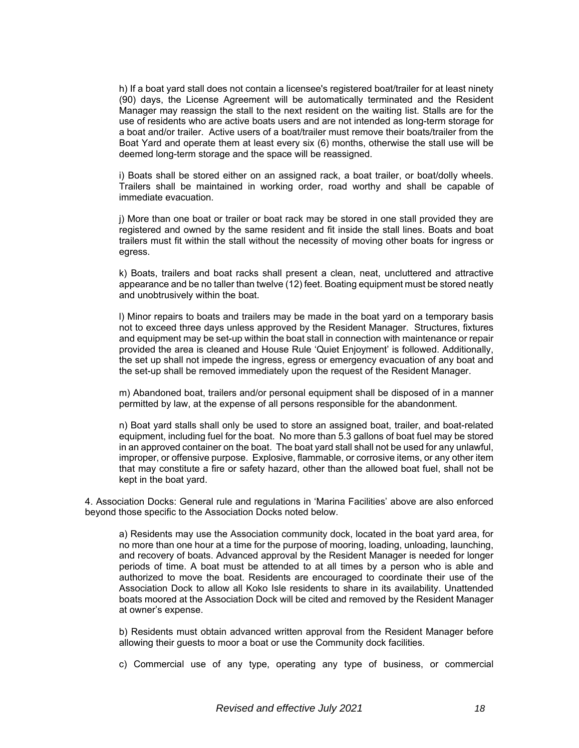h) If a boat yard stall does not contain a licensee's registered boat/trailer for at least ninety (90) days, the License Agreement will be automatically terminated and the Resident Manager may reassign the stall to the next resident on the waiting list. Stalls are for the use of residents who are active boats users and are not intended as long-term storage for a boat and/or trailer. Active users of a boat/trailer must remove their boats/trailer from the Boat Yard and operate them at least every six (6) months, otherwise the stall use will be deemed long-term storage and the space will be reassigned.

i) Boats shall be stored either on an assigned rack, a boat trailer, or boat/dolly wheels. Trailers shall be maintained in working order, road worthy and shall be capable of immediate evacuation.

j) More than one boat or trailer or boat rack may be stored in one stall provided they are registered and owned by the same resident and fit inside the stall lines. Boats and boat trailers must fit within the stall without the necessity of moving other boats for ingress or egress.

k) Boats, trailers and boat racks shall present a clean, neat, uncluttered and attractive appearance and be no taller than twelve (12) feet. Boating equipment must be stored neatly and unobtrusively within the boat.

l) Minor repairs to boats and trailers may be made in the boat yard on a temporary basis not to exceed three days unless approved by the Resident Manager. Structures, fixtures and equipment may be set-up within the boat stall in connection with maintenance or repair provided the area is cleaned and House Rule 'Quiet Enjoyment' is followed. Additionally, the set up shall not impede the ingress, egress or emergency evacuation of any boat and the set-up shall be removed immediately upon the request of the Resident Manager.

m) Abandoned boat, trailers and/or personal equipment shall be disposed of in a manner permitted by law, at the expense of all persons responsible for the abandonment.

n) Boat yard stalls shall only be used to store an assigned boat, trailer, and boat-related equipment, including fuel for the boat. No more than 5.3 gallons of boat fuel may be stored in an approved container on the boat. The boat yard stall shall not be used for any unlawful, improper, or offensive purpose. Explosive, flammable, or corrosive items, or any other item that may constitute a fire or safety hazard, other than the allowed boat fuel, shall not be kept in the boat yard.

4. Association Docks: General rule and regulations in 'Marina Facilities' above are also enforced beyond those specific to the Association Docks noted below.

a) Residents may use the Association community dock, located in the boat yard area, for no more than one hour at a time for the purpose of mooring, loading, unloading, launching, and recovery of boats. Advanced approval by the Resident Manager is needed for longer periods of time. A boat must be attended to at all times by a person who is able and authorized to move the boat. Residents are encouraged to coordinate their use of the Association Dock to allow all Koko Isle residents to share in its availability. Unattended boats moored at the Association Dock will be cited and removed by the Resident Manager at owner's expense.

b) Residents must obtain advanced written approval from the Resident Manager before allowing their guests to moor a boat or use the Community dock facilities.

c) Commercial use of any type, operating any type of business, or commercial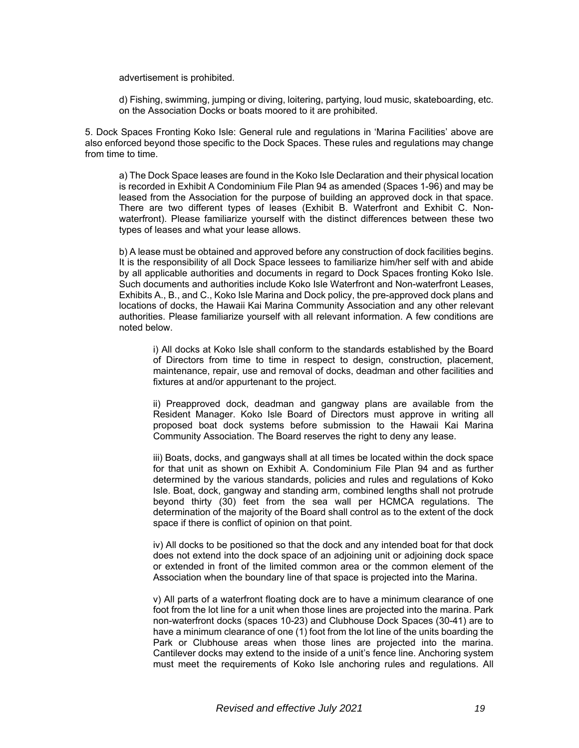advertisement is prohibited.

d) Fishing, swimming, jumping or diving, loitering, partying, loud music, skateboarding, etc. on the Association Docks or boats moored to it are prohibited.

5. Dock Spaces Fronting Koko Isle: General rule and regulations in 'Marina Facilities' above are also enforced beyond those specific to the Dock Spaces. These rules and regulations may change from time to time.

a) The Dock Space leases are found in the Koko Isle Declaration and their physical location is recorded in Exhibit A Condominium File Plan 94 as amended (Spaces 1-96) and may be leased from the Association for the purpose of building an approved dock in that space. There are two different types of leases (Exhibit B. Waterfront and Exhibit C. Nonwaterfront). Please familiarize yourself with the distinct differences between these two types of leases and what your lease allows.

b) A lease must be obtained and approved before any construction of dock facilities begins. It is the responsibility of all Dock Space lessees to familiarize him/her self with and abide by all applicable authorities and documents in regard to Dock Spaces fronting Koko Isle. Such documents and authorities include Koko Isle Waterfront and Non-waterfront Leases, Exhibits A., B., and C., Koko Isle Marina and Dock policy, the pre-approved dock plans and locations of docks, the Hawaii Kai Marina Community Association and any other relevant authorities. Please familiarize yourself with all relevant information. A few conditions are noted below.

i) All docks at Koko Isle shall conform to the standards established by the Board of Directors from time to time in respect to design, construction, placement, maintenance, repair, use and removal of docks, deadman and other facilities and fixtures at and/or appurtenant to the project.

ii) Preapproved dock, deadman and gangway plans are available from the Resident Manager. Koko Isle Board of Directors must approve in writing all proposed boat dock systems before submission to the Hawaii Kai Marina Community Association. The Board reserves the right to deny any lease.

iii) Boats, docks, and gangways shall at all times be located within the dock space for that unit as shown on Exhibit A. Condominium File Plan 94 and as further determined by the various standards, policies and rules and regulations of Koko Isle. Boat, dock, gangway and standing arm, combined lengths shall not protrude beyond thirty (30) feet from the sea wall per HCMCA regulations. The determination of the majority of the Board shall control as to the extent of the dock space if there is conflict of opinion on that point.

iv) All docks to be positioned so that the dock and any intended boat for that dock does not extend into the dock space of an adjoining unit or adjoining dock space or extended in front of the limited common area or the common element of the Association when the boundary line of that space is projected into the Marina.

v) All parts of a waterfront floating dock are to have a minimum clearance of one foot from the lot line for a unit when those lines are projected into the marina. Park non-waterfront docks (spaces 10-23) and Clubhouse Dock Spaces (30-41) are to have a minimum clearance of one (1) foot from the lot line of the units boarding the Park or Clubhouse areas when those lines are projected into the marina. Cantilever docks may extend to the inside of a unit's fence line. Anchoring system must meet the requirements of Koko Isle anchoring rules and regulations. All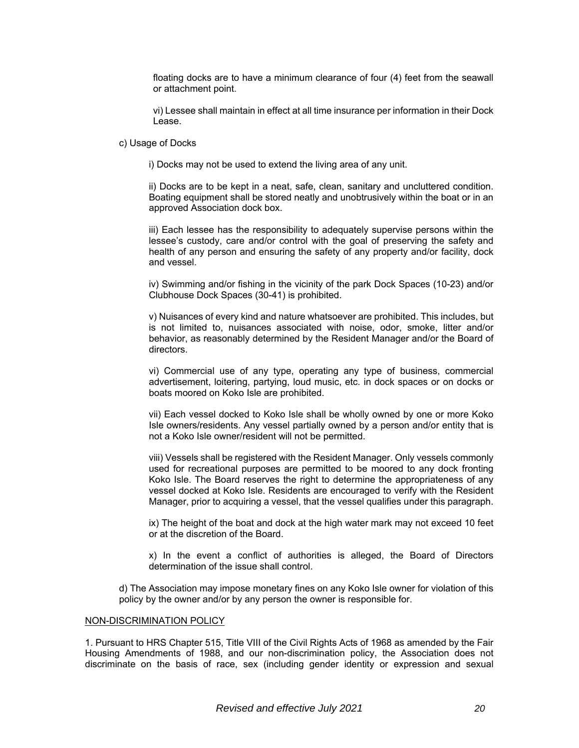floating docks are to have a minimum clearance of four (4) feet from the seawall or attachment point.

vi) Lessee shall maintain in effect at all time insurance per information in their Dock Lease.

c) Usage of Docks

i) Docks may not be used to extend the living area of any unit.

ii) Docks are to be kept in a neat, safe, clean, sanitary and uncluttered condition. Boating equipment shall be stored neatly and unobtrusively within the boat or in an approved Association dock box.

iii) Each lessee has the responsibility to adequately supervise persons within the lessee's custody, care and/or control with the goal of preserving the safety and health of any person and ensuring the safety of any property and/or facility, dock and vessel.

iv) Swimming and/or fishing in the vicinity of the park Dock Spaces (10-23) and/or Clubhouse Dock Spaces (30-41) is prohibited.

v) Nuisances of every kind and nature whatsoever are prohibited. This includes, but is not limited to, nuisances associated with noise, odor, smoke, litter and/or behavior, as reasonably determined by the Resident Manager and/or the Board of directors.

vi) Commercial use of any type, operating any type of business, commercial advertisement, loitering, partying, loud music, etc. in dock spaces or on docks or boats moored on Koko Isle are prohibited.

vii) Each vessel docked to Koko Isle shall be wholly owned by one or more Koko Isle owners/residents. Any vessel partially owned by a person and/or entity that is not a Koko Isle owner/resident will not be permitted.

viii) Vessels shall be registered with the Resident Manager. Only vessels commonly used for recreational purposes are permitted to be moored to any dock fronting Koko Isle. The Board reserves the right to determine the appropriateness of any vessel docked at Koko Isle. Residents are encouraged to verify with the Resident Manager, prior to acquiring a vessel, that the vessel qualifies under this paragraph.

ix) The height of the boat and dock at the high water mark may not exceed 10 feet or at the discretion of the Board.

x) In the event a conflict of authorities is alleged, the Board of Directors determination of the issue shall control.

d) The Association may impose monetary fines on any Koko Isle owner for violation of this policy by the owner and/or by any person the owner is responsible for.

#### NON-DISCRIMINATION POLICY

1. Pursuant to HRS Chapter 515, Title VIII of the Civil Rights Acts of 1968 as amended by the Fair Housing Amendments of 1988, and our non-discrimination policy, the Association does not discriminate on the basis of race, sex (including gender identity or expression and sexual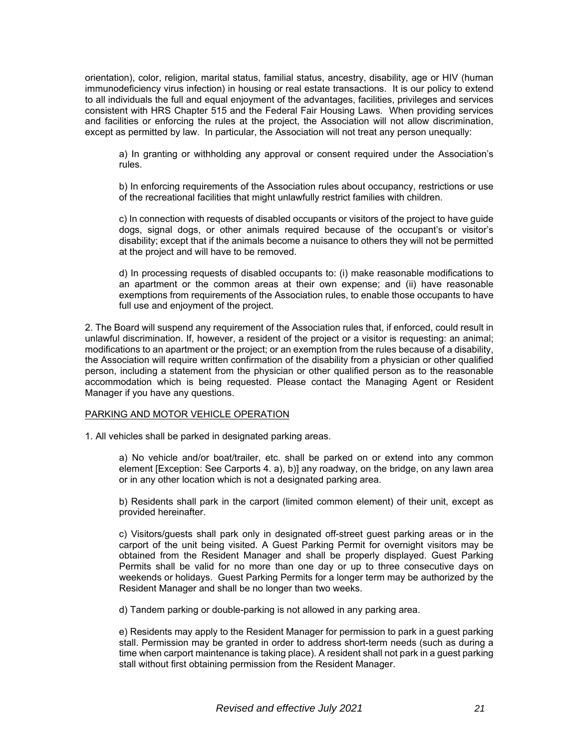orientation), color, religion, marital status, familial status, ancestry, disability, age or HIV (human immunodeficiency virus infection) in housing or real estate transactions. It is our policy to extend to all individuals the full and equal enjoyment of the advantages, facilities, privileges and services consistent with HRS Chapter 515 and the Federal Fair Housing Laws. When providing services and facilities or enforcing the rules at the project, the Association will not allow discrimination, except as permitted by law. In particular, the Association will not treat any person unequally:

a) In granting or withholding any approval or consent required under the Association's rules.

b) In enforcing requirements of the Association rules about occupancy, restrictions or use of the recreational facilities that might unlawfully restrict families with children.

c) In connection with requests of disabled occupants or visitors of the project to have guide dogs, signal dogs, or other animals required because of the occupant's or visitor's disability; except that if the animals become a nuisance to others they will not be permitted at the project and will have to be removed.

d) In processing requests of disabled occupants to: (i) make reasonable modifications to an apartment or the common areas at their own expense; and (ii) have reasonable exemptions from requirements of the Association rules, to enable those occupants to have full use and enjoyment of the project.

2. The Board will suspend any requirement of the Association rules that, if enforced, could result in unlawful discrimination. If, however, a resident of the project or a visitor is requesting: an animal; modifications to an apartment or the project; or an exemption from the rules because of a disability, the Association will require written confirmation of the disability from a physician or other qualified person, including a statement from the physician or other qualified person as to the reasonable accommodation which is being requested. Please contact the Managing Agent or Resident Manager if you have any questions.

#### PARKING AND MOTOR VEHICLE OPERATION

1. All vehicles shall be parked in designated parking areas.

a) No vehicle and/or boat/trailer, etc. shall be parked on or extend into any common element [Exception: See Carports 4. a), b)] any roadway, on the bridge, on any lawn area or in any other location which is not a designated parking area.

b) Residents shall park in the carport (limited common element) of their unit, except as provided hereinafter.

c) Visitors/guests shall park only in designated off-street guest parking areas or in the carport of the unit being visited. A Guest Parking Permit for overnight visitors may be obtained from the Resident Manager and shall be properly displayed. Guest Parking Permits shall be valid for no more than one day or up to three consecutive days on weekends or holidays. Guest Parking Permits for a longer term may be authorized by the Resident Manager and shall be no longer than two weeks.

d) Tandem parking or double-parking is not allowed in any parking area.

e) Residents may apply to the Resident Manager for permission to park in a guest parking stall. Permission may be granted in order to address short-term needs (such as during a time when carport maintenance is taking place). A resident shall not park in a guest parking stall without first obtaining permission from the Resident Manager.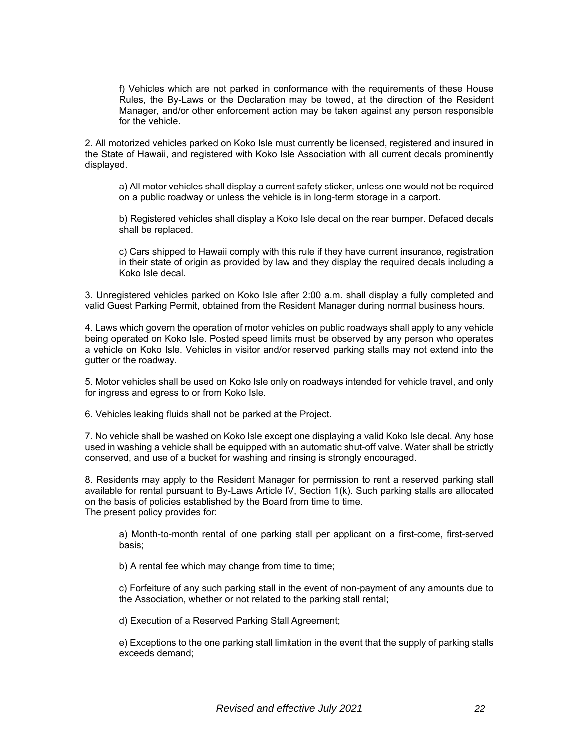f) Vehicles which are not parked in conformance with the requirements of these House Rules, the By-Laws or the Declaration may be towed, at the direction of the Resident Manager, and/or other enforcement action may be taken against any person responsible for the vehicle.

2. All motorized vehicles parked on Koko Isle must currently be licensed, registered and insured in the State of Hawaii, and registered with Koko Isle Association with all current decals prominently displayed.

a) All motor vehicles shall display a current safety sticker, unless one would not be required on a public roadway or unless the vehicle is in long-term storage in a carport.

b) Registered vehicles shall display a Koko Isle decal on the rear bumper. Defaced decals shall be replaced.

c) Cars shipped to Hawaii comply with this rule if they have current insurance, registration in their state of origin as provided by law and they display the required decals including a Koko Isle decal.

3. Unregistered vehicles parked on Koko Isle after 2:00 a.m. shall display a fully completed and valid Guest Parking Permit, obtained from the Resident Manager during normal business hours.

4. Laws which govern the operation of motor vehicles on public roadways shall apply to any vehicle being operated on Koko Isle. Posted speed limits must be observed by any person who operates a vehicle on Koko Isle. Vehicles in visitor and/or reserved parking stalls may not extend into the gutter or the roadway.

5. Motor vehicles shall be used on Koko Isle only on roadways intended for vehicle travel, and only for ingress and egress to or from Koko Isle.

6. Vehicles leaking fluids shall not be parked at the Project.

7. No vehicle shall be washed on Koko Isle except one displaying a valid Koko Isle decal. Any hose used in washing a vehicle shall be equipped with an automatic shut-off valve. Water shall be strictly conserved, and use of a bucket for washing and rinsing is strongly encouraged.

8. Residents may apply to the Resident Manager for permission to rent a reserved parking stall available for rental pursuant to By-Laws Article IV, Section 1(k). Such parking stalls are allocated on the basis of policies established by the Board from time to time. The present policy provides for:

a) Month-to-month rental of one parking stall per applicant on a first-come, first-served basis;

b) A rental fee which may change from time to time;

c) Forfeiture of any such parking stall in the event of non-payment of any amounts due to the Association, whether or not related to the parking stall rental;

d) Execution of a Reserved Parking Stall Agreement;

e) Exceptions to the one parking stall limitation in the event that the supply of parking stalls exceeds demand;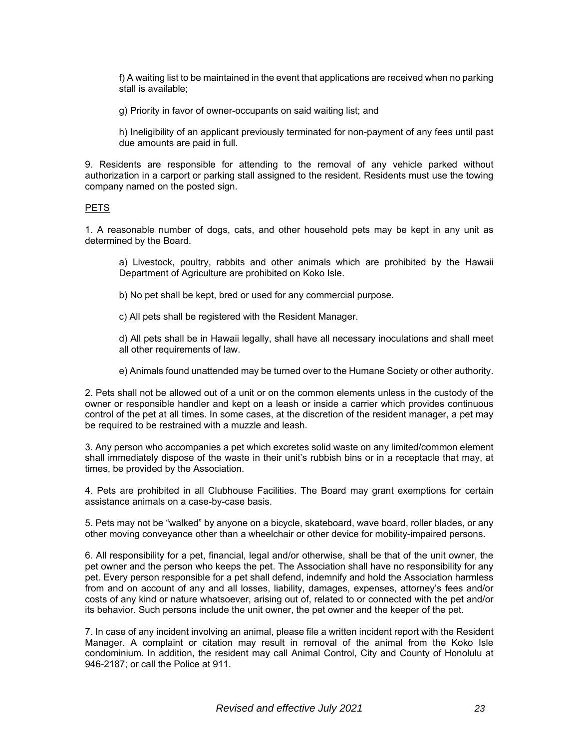f) A waiting list to be maintained in the event that applications are received when no parking stall is available;

g) Priority in favor of owner-occupants on said waiting list; and

h) Ineligibility of an applicant previously terminated for non-payment of any fees until past due amounts are paid in full.

9. Residents are responsible for attending to the removal of any vehicle parked without authorization in a carport or parking stall assigned to the resident. Residents must use the towing company named on the posted sign.

#### PETS

1. A reasonable number of dogs, cats, and other household pets may be kept in any unit as determined by the Board.

a) Livestock, poultry, rabbits and other animals which are prohibited by the Hawaii Department of Agriculture are prohibited on Koko Isle.

b) No pet shall be kept, bred or used for any commercial purpose.

c) All pets shall be registered with the Resident Manager.

d) All pets shall be in Hawaii legally, shall have all necessary inoculations and shall meet all other requirements of law.

e) Animals found unattended may be turned over to the Humane Society or other authority.

2. Pets shall not be allowed out of a unit or on the common elements unless in the custody of the owner or responsible handler and kept on a leash or inside a carrier which provides continuous control of the pet at all times. In some cases, at the discretion of the resident manager, a pet may be required to be restrained with a muzzle and leash.

3. Any person who accompanies a pet which excretes solid waste on any limited/common element shall immediately dispose of the waste in their unit's rubbish bins or in a receptacle that may, at times, be provided by the Association.

4. Pets are prohibited in all Clubhouse Facilities. The Board may grant exemptions for certain assistance animals on a case-by-case basis.

5. Pets may not be "walked" by anyone on a bicycle, skateboard, wave board, roller blades, or any other moving conveyance other than a wheelchair or other device for mobility-impaired persons.

6. All responsibility for a pet, financial, legal and/or otherwise, shall be that of the unit owner, the pet owner and the person who keeps the pet. The Association shall have no responsibility for any pet. Every person responsible for a pet shall defend, indemnify and hold the Association harmless from and on account of any and all losses, liability, damages, expenses, attorney's fees and/or costs of any kind or nature whatsoever, arising out of, related to or connected with the pet and/or its behavior. Such persons include the unit owner, the pet owner and the keeper of the pet.

7. In case of any incident involving an animal, please file a written incident report with the Resident Manager. A complaint or citation may result in removal of the animal from the Koko Isle condominium. In addition, the resident may call Animal Control, City and County of Honolulu at 946-2187; or call the Police at 911.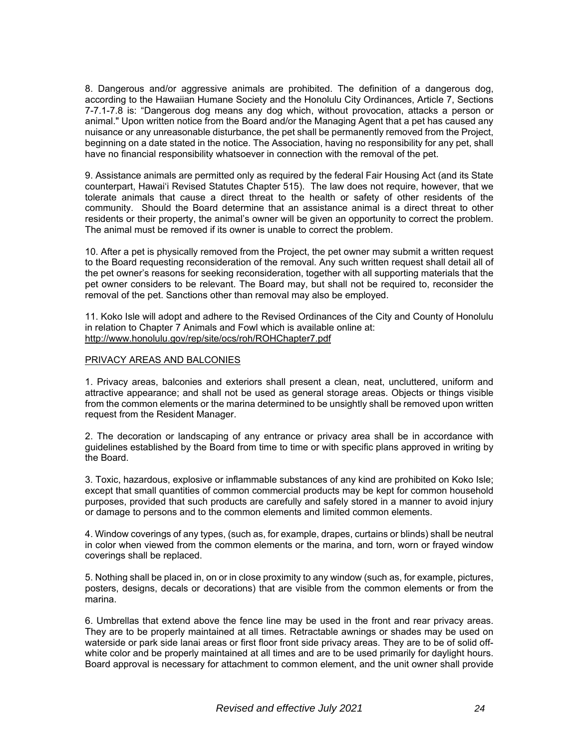8. Dangerous and/or aggressive animals are prohibited. The definition of a dangerous dog, according to the Hawaiian Humane Society and the Honolulu City Ordinances, Article 7, Sections 7-7.1-7.8 is: "Dangerous dog means any dog which, without provocation, attacks a person or animal." Upon written notice from the Board and/or the Managing Agent that a pet has caused any nuisance or any unreasonable disturbance, the pet shall be permanently removed from the Project, beginning on a date stated in the notice. The Association, having no responsibility for any pet, shall have no financial responsibility whatsoever in connection with the removal of the pet.

9. Assistance animals are permitted only as required by the federal Fair Housing Act (and its State counterpart, Hawai'i Revised Statutes Chapter 515). The law does not require, however, that we tolerate animals that cause a direct threat to the health or safety of other residents of the community. Should the Board determine that an assistance animal is a direct threat to other residents or their property, the animal's owner will be given an opportunity to correct the problem. The animal must be removed if its owner is unable to correct the problem.

10. After a pet is physically removed from the Project, the pet owner may submit a written request to the Board requesting reconsideration of the removal. Any such written request shall detail all of the pet owner's reasons for seeking reconsideration, together with all supporting materials that the pet owner considers to be relevant. The Board may, but shall not be required to, reconsider the removal of the pet. Sanctions other than removal may also be employed.

11. Koko Isle will adopt and adhere to the Revised Ordinances of the City and County of Honolulu in relation to Chapter 7 Animals and Fowl which is available online at: http://www.honolulu.gov/rep/site/ocs/roh/ROHChapter7.pdf

#### PRIVACY AREAS AND BALCONIES

1. Privacy areas, balconies and exteriors shall present a clean, neat, uncluttered, uniform and attractive appearance; and shall not be used as general storage areas. Objects or things visible from the common elements or the marina determined to be unsightly shall be removed upon written request from the Resident Manager.

2. The decoration or landscaping of any entrance or privacy area shall be in accordance with guidelines established by the Board from time to time or with specific plans approved in writing by the Board.

3. Toxic, hazardous, explosive or inflammable substances of any kind are prohibited on Koko Isle; except that small quantities of common commercial products may be kept for common household purposes, provided that such products are carefully and safely stored in a manner to avoid injury or damage to persons and to the common elements and limited common elements.

4. Window coverings of any types, (such as, for example, drapes, curtains or blinds) shall be neutral in color when viewed from the common elements or the marina, and torn, worn or frayed window coverings shall be replaced.

5. Nothing shall be placed in, on or in close proximity to any window (such as, for example, pictures, posters, designs, decals or decorations) that are visible from the common elements or from the marina.

6. Umbrellas that extend above the fence line may be used in the front and rear privacy areas. They are to be properly maintained at all times. Retractable awnings or shades may be used on waterside or park side lanai areas or first floor front side privacy areas. They are to be of solid offwhite color and be properly maintained at all times and are to be used primarily for daylight hours. Board approval is necessary for attachment to common element, and the unit owner shall provide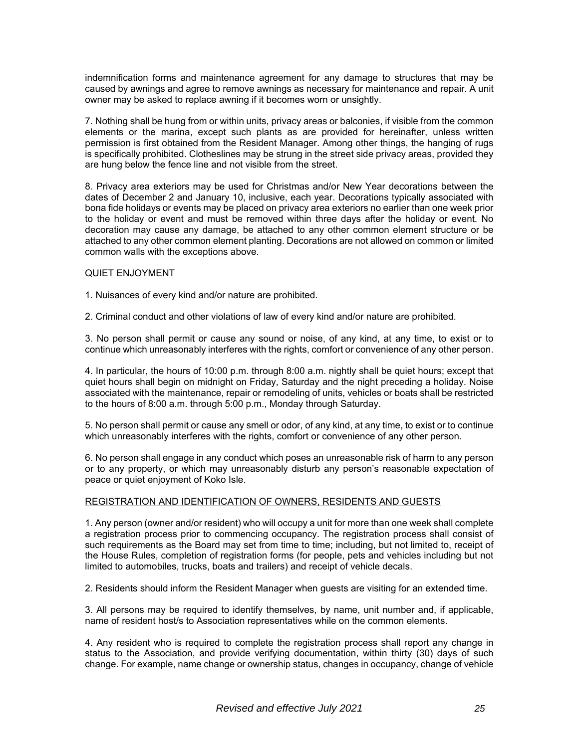indemnification forms and maintenance agreement for any damage to structures that may be caused by awnings and agree to remove awnings as necessary for maintenance and repair. A unit owner may be asked to replace awning if it becomes worn or unsightly.

7. Nothing shall be hung from or within units, privacy areas or balconies, if visible from the common elements or the marina, except such plants as are provided for hereinafter, unless written permission is first obtained from the Resident Manager. Among other things, the hanging of rugs is specifically prohibited. Clotheslines may be strung in the street side privacy areas, provided they are hung below the fence line and not visible from the street.

8. Privacy area exteriors may be used for Christmas and/or New Year decorations between the dates of December 2 and January 10, inclusive, each year. Decorations typically associated with bona fide holidays or events may be placed on privacy area exteriors no earlier than one week prior to the holiday or event and must be removed within three days after the holiday or event. No decoration may cause any damage, be attached to any other common element structure or be attached to any other common element planting. Decorations are not allowed on common or limited common walls with the exceptions above.

#### QUIET ENJOYMENT

1. Nuisances of every kind and/or nature are prohibited.

2. Criminal conduct and other violations of law of every kind and/or nature are prohibited.

3. No person shall permit or cause any sound or noise, of any kind, at any time, to exist or to continue which unreasonably interferes with the rights, comfort or convenience of any other person.

4. In particular, the hours of 10:00 p.m. through 8:00 a.m. nightly shall be quiet hours; except that quiet hours shall begin on midnight on Friday, Saturday and the night preceding a holiday. Noise associated with the maintenance, repair or remodeling of units, vehicles or boats shall be restricted to the hours of 8:00 a.m. through 5:00 p.m., Monday through Saturday.

5. No person shall permit or cause any smell or odor, of any kind, at any time, to exist or to continue which unreasonably interferes with the rights, comfort or convenience of any other person.

6. No person shall engage in any conduct which poses an unreasonable risk of harm to any person or to any property, or which may unreasonably disturb any person's reasonable expectation of peace or quiet enjoyment of Koko Isle.

#### REGISTRATION AND IDENTIFICATION OF OWNERS, RESIDENTS AND GUESTS

1. Any person (owner and/or resident) who will occupy a unit for more than one week shall complete a registration process prior to commencing occupancy. The registration process shall consist of such requirements as the Board may set from time to time; including, but not limited to, receipt of the House Rules, completion of registration forms (for people, pets and vehicles including but not limited to automobiles, trucks, boats and trailers) and receipt of vehicle decals.

2. Residents should inform the Resident Manager when guests are visiting for an extended time.

3. All persons may be required to identify themselves, by name, unit number and, if applicable, name of resident host/s to Association representatives while on the common elements.

4. Any resident who is required to complete the registration process shall report any change in status to the Association, and provide verifying documentation, within thirty (30) days of such change. For example, name change or ownership status, changes in occupancy, change of vehicle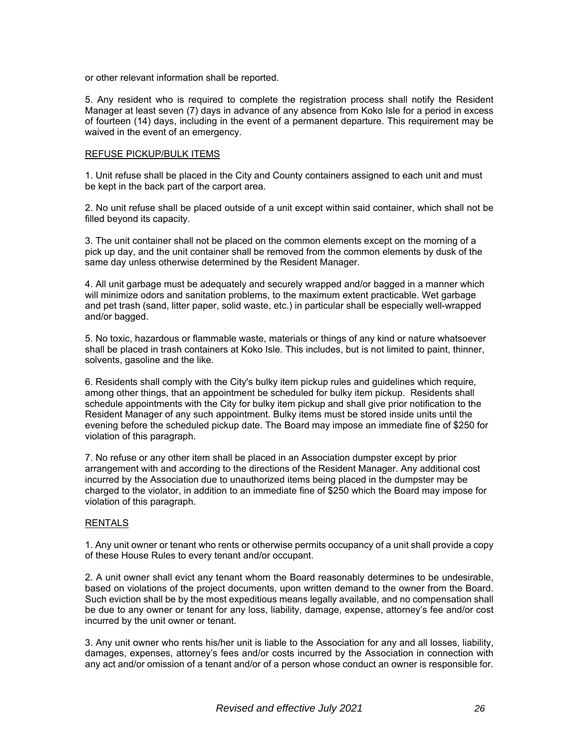or other relevant information shall be reported.

5. Any resident who is required to complete the registration process shall notify the Resident Manager at least seven (7) days in advance of any absence from Koko Isle for a period in excess of fourteen (14) days, including in the event of a permanent departure. This requirement may be waived in the event of an emergency.

#### REFUSE PICKUP/BULK ITEMS

1. Unit refuse shall be placed in the City and County containers assigned to each unit and must be kept in the back part of the carport area.

2. No unit refuse shall be placed outside of a unit except within said container, which shall not be filled beyond its capacity.

3. The unit container shall not be placed on the common elements except on the morning of a pick up day, and the unit container shall be removed from the common elements by dusk of the same day unless otherwise determined by the Resident Manager.

4. All unit garbage must be adequately and securely wrapped and/or bagged in a manner which will minimize odors and sanitation problems, to the maximum extent practicable. Wet garbage and pet trash (sand, litter paper, solid waste, etc.) in particular shall be especially well-wrapped and/or bagged.

5. No toxic, hazardous or flammable waste, materials or things of any kind or nature whatsoever shall be placed in trash containers at Koko Isle. This includes, but is not limited to paint, thinner, solvents, gasoline and the like.

6. Residents shall comply with the City's bulky item pickup rules and guidelines which require, among other things, that an appointment be scheduled for bulky item pickup. Residents shall schedule appointments with the City for bulky item pickup and shall give prior notification to the Resident Manager of any such appointment. Bulky items must be stored inside units until the evening before the scheduled pickup date. The Board may impose an immediate fine of \$250 for violation of this paragraph.

7. No refuse or any other item shall be placed in an Association dumpster except by prior arrangement with and according to the directions of the Resident Manager. Any additional cost incurred by the Association due to unauthorized items being placed in the dumpster may be charged to the violator, in addition to an immediate fine of \$250 which the Board may impose for violation of this paragraph.

#### RENTALS

1. Any unit owner or tenant who rents or otherwise permits occupancy of a unit shall provide a copy of these House Rules to every tenant and/or occupant.

2. A unit owner shall evict any tenant whom the Board reasonably determines to be undesirable, based on violations of the project documents, upon written demand to the owner from the Board. Such eviction shall be by the most expeditious means legally available, and no compensation shall be due to any owner or tenant for any loss, liability, damage, expense, attorney's fee and/or cost incurred by the unit owner or tenant.

3. Any unit owner who rents his/her unit is liable to the Association for any and all losses, liability, damages, expenses, attorney's fees and/or costs incurred by the Association in connection with any act and/or omission of a tenant and/or of a person whose conduct an owner is responsible for.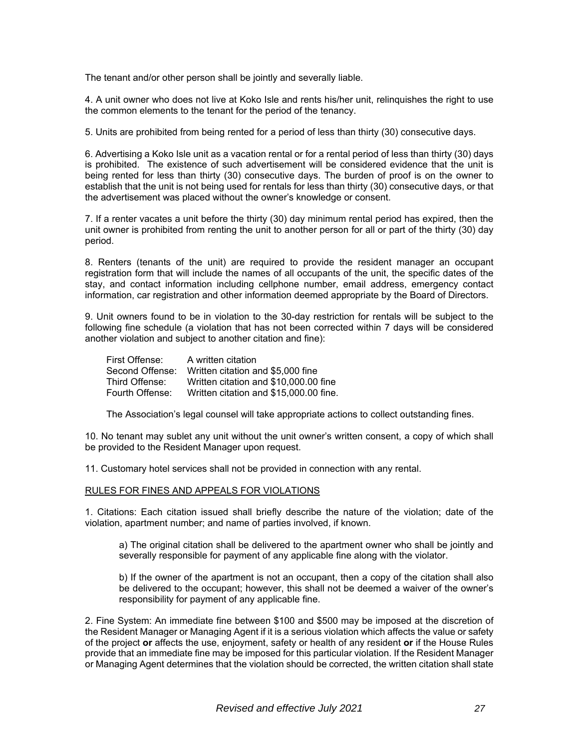The tenant and/or other person shall be jointly and severally liable.

4. A unit owner who does not live at Koko Isle and rents his/her unit, relinquishes the right to use the common elements to the tenant for the period of the tenancy.

5. Units are prohibited from being rented for a period of less than thirty (30) consecutive days.

6. Advertising a Koko Isle unit as a vacation rental or for a rental period of less than thirty (30) days is prohibited. The existence of such advertisement will be considered evidence that the unit is being rented for less than thirty (30) consecutive days. The burden of proof is on the owner to establish that the unit is not being used for rentals for less than thirty (30) consecutive days, or that the advertisement was placed without the owner's knowledge or consent.

7. If a renter vacates a unit before the thirty (30) day minimum rental period has expired, then the unit owner is prohibited from renting the unit to another person for all or part of the thirty (30) day period.

8. Renters (tenants of the unit) are required to provide the resident manager an occupant registration form that will include the names of all occupants of the unit, the specific dates of the stay, and contact information including cellphone number, email address, emergency contact information, car registration and other information deemed appropriate by the Board of Directors.

9. Unit owners found to be in violation to the 30-day restriction for rentals will be subject to the following fine schedule (a violation that has not been corrected within 7 days will be considered another violation and subject to another citation and fine):

| First Offense:  | A written citation                     |
|-----------------|----------------------------------------|
| Second Offense: | Written citation and \$5,000 fine      |
| Third Offense:  | Written citation and \$10,000.00 fine  |
| Fourth Offense: | Written citation and \$15,000.00 fine. |

The Association's legal counsel will take appropriate actions to collect outstanding fines.

10. No tenant may sublet any unit without the unit owner's written consent, a copy of which shall be provided to the Resident Manager upon request.

11. Customary hotel services shall not be provided in connection with any rental.

#### RULES FOR FINES AND APPEALS FOR VIOLATIONS

1. Citations: Each citation issued shall briefly describe the nature of the violation; date of the violation, apartment number; and name of parties involved, if known.

a) The original citation shall be delivered to the apartment owner who shall be jointly and severally responsible for payment of any applicable fine along with the violator.

b) If the owner of the apartment is not an occupant, then a copy of the citation shall also be delivered to the occupant; however, this shall not be deemed a waiver of the owner's responsibility for payment of any applicable fine.

2. Fine System: An immediate fine between \$100 and \$500 may be imposed at the discretion of the Resident Manager or Managing Agent if it is a serious violation which affects the value or safety of the project **or** affects the use, enjoyment, safety or health of any resident **or** if the House Rules provide that an immediate fine may be imposed for this particular violation. If the Resident Manager or Managing Agent determines that the violation should be corrected, the written citation shall state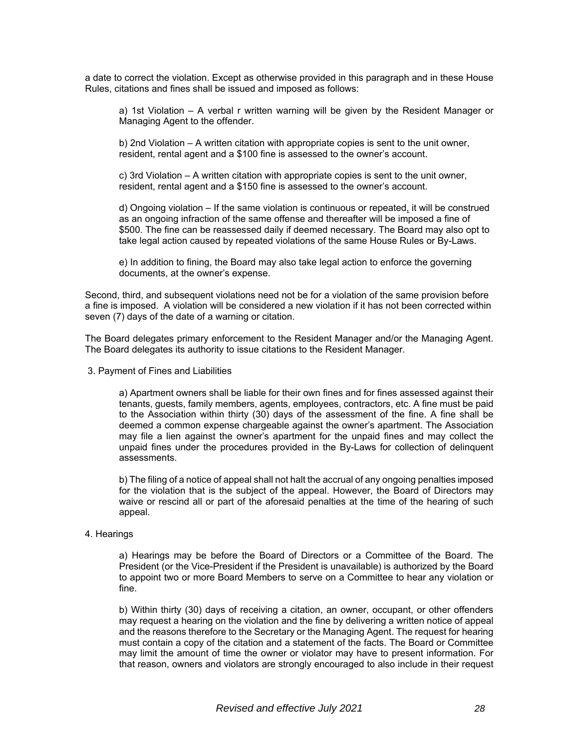a date to correct the violation. Except as otherwise provided in this paragraph and in these House Rules, citations and fines shall be issued and imposed as follows:

a) 1st Violation – A verbal r written warning will be given by the Resident Manager or Managing Agent to the offender.

b) 2nd Violation – A written citation with appropriate copies is sent to the unit owner, resident, rental agent and a \$100 fine is assessed to the owner's account.

c) 3rd Violation – A written citation with appropriate copies is sent to the unit owner, resident, rental agent and a \$150 fine is assessed to the owner's account.

d) Ongoing violation – If the same violation is continuous or repeated, it will be construed as an ongoing infraction of the same offense and thereafter will be imposed a fine of \$500. The fine can be reassessed daily if deemed necessary. The Board may also opt to take legal action caused by repeated violations of the same House Rules or By-Laws.

e) In addition to fining, the Board may also take legal action to enforce the governing documents, at the owner's expense.

Second, third, and subsequent violations need not be for a violation of the same provision before a fine is imposed. A violation will be considered a new violation if it has not been corrected within seven (7) days of the date of a warning or citation.

The Board delegates primary enforcement to the Resident Manager and/or the Managing Agent. The Board delegates its authority to issue citations to the Resident Manager.

3. Payment of Fines and Liabilities

a) Apartment owners shall be liable for their own fines and for fines assessed against their tenants, guests, family members, agents, employees, contractors, etc. A fine must be paid to the Association within thirty (30) days of the assessment of the fine. A fine shall be deemed a common expense chargeable against the owner's apartment. The Association may file a lien against the owner's apartment for the unpaid fines and may collect the unpaid fines under the procedures provided in the By-Laws for collection of delinquent assessments.

b) The filing of a notice of appeal shall not halt the accrual of any ongoing penalties imposed for the violation that is the subject of the appeal. However, the Board of Directors may waive or rescind all or part of the aforesaid penalties at the time of the hearing of such appeal.

#### 4. Hearings

a) Hearings may be before the Board of Directors or a Committee of the Board. The President (or the Vice-President if the President is unavailable) is authorized by the Board to appoint two or more Board Members to serve on a Committee to hear any violation or fine.

b) Within thirty (30) days of receiving a citation, an owner, occupant, or other offenders may request a hearing on the violation and the fine by delivering a written notice of appeal and the reasons therefore to the Secretary or the Managing Agent. The request for hearing must contain a copy of the citation and a statement of the facts. The Board or Committee may limit the amount of time the owner or violator may have to present information. For that reason, owners and violators are strongly encouraged to also include in their request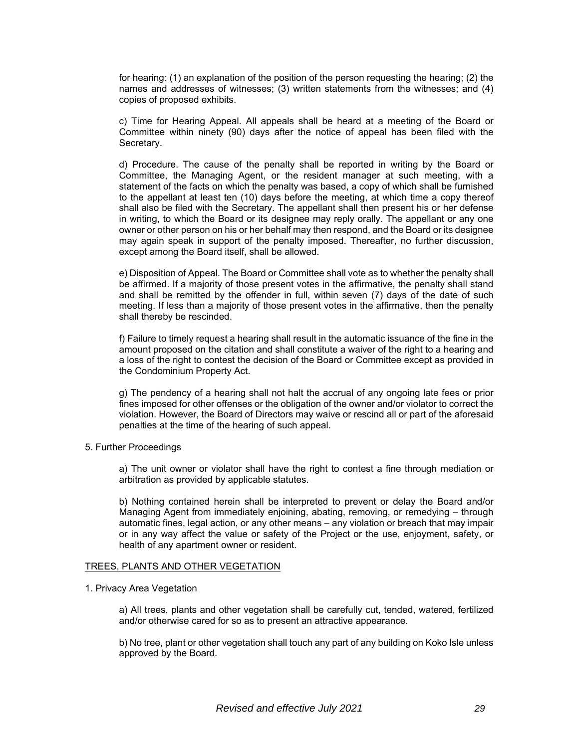for hearing: (1) an explanation of the position of the person requesting the hearing; (2) the names and addresses of witnesses; (3) written statements from the witnesses; and (4) copies of proposed exhibits.

c) Time for Hearing Appeal. All appeals shall be heard at a meeting of the Board or Committee within ninety (90) days after the notice of appeal has been filed with the Secretary.

d) Procedure. The cause of the penalty shall be reported in writing by the Board or Committee, the Managing Agent, or the resident manager at such meeting, with a statement of the facts on which the penalty was based, a copy of which shall be furnished to the appellant at least ten (10) days before the meeting, at which time a copy thereof shall also be filed with the Secretary. The appellant shall then present his or her defense in writing, to which the Board or its designee may reply orally. The appellant or any one owner or other person on his or her behalf may then respond, and the Board or its designee may again speak in support of the penalty imposed. Thereafter, no further discussion, except among the Board itself, shall be allowed.

e) Disposition of Appeal. The Board or Committee shall vote as to whether the penalty shall be affirmed. If a majority of those present votes in the affirmative, the penalty shall stand and shall be remitted by the offender in full, within seven (7) days of the date of such meeting. If less than a majority of those present votes in the affirmative, then the penalty shall thereby be rescinded.

f) Failure to timely request a hearing shall result in the automatic issuance of the fine in the amount proposed on the citation and shall constitute a waiver of the right to a hearing and a loss of the right to contest the decision of the Board or Committee except as provided in the Condominium Property Act.

g) The pendency of a hearing shall not halt the accrual of any ongoing late fees or prior fines imposed for other offenses or the obligation of the owner and/or violator to correct the violation. However, the Board of Directors may waive or rescind all or part of the aforesaid penalties at the time of the hearing of such appeal.

5. Further Proceedings

a) The unit owner or violator shall have the right to contest a fine through mediation or arbitration as provided by applicable statutes.

b) Nothing contained herein shall be interpreted to prevent or delay the Board and/or Managing Agent from immediately enjoining, abating, removing, or remedying – through automatic fines, legal action, or any other means – any violation or breach that may impair or in any way affect the value or safety of the Project or the use, enjoyment, safety, or health of any apartment owner or resident.

#### TREES, PLANTS AND OTHER VEGETATION

#### 1. Privacy Area Vegetation

a) All trees, plants and other vegetation shall be carefully cut, tended, watered, fertilized and/or otherwise cared for so as to present an attractive appearance.

b) No tree, plant or other vegetation shall touch any part of any building on Koko Isle unless approved by the Board.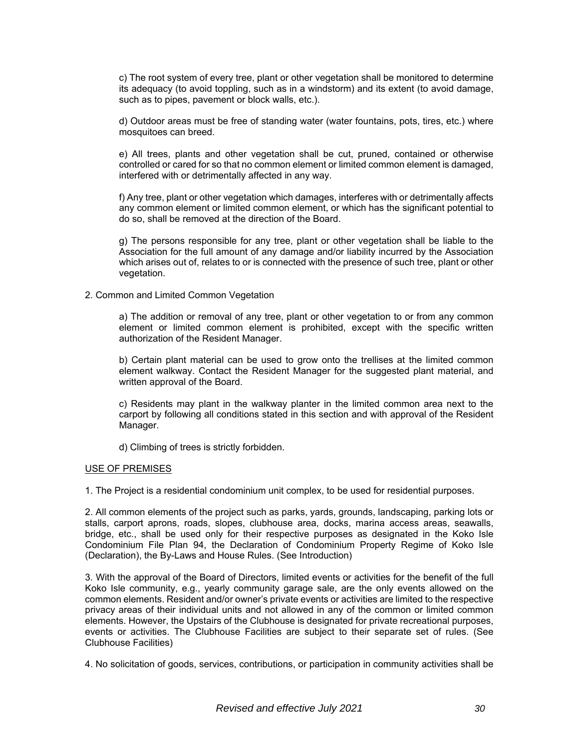c) The root system of every tree, plant or other vegetation shall be monitored to determine its adequacy (to avoid toppling, such as in a windstorm) and its extent (to avoid damage, such as to pipes, pavement or block walls, etc.).

d) Outdoor areas must be free of standing water (water fountains, pots, tires, etc.) where mosquitoes can breed.

e) All trees, plants and other vegetation shall be cut, pruned, contained or otherwise controlled or cared for so that no common element or limited common element is damaged, interfered with or detrimentally affected in any way.

f) Any tree, plant or other vegetation which damages, interferes with or detrimentally affects any common element or limited common element, or which has the significant potential to do so, shall be removed at the direction of the Board.

g) The persons responsible for any tree, plant or other vegetation shall be liable to the Association for the full amount of any damage and/or liability incurred by the Association which arises out of, relates to or is connected with the presence of such tree, plant or other vegetation.

#### 2. Common and Limited Common Vegetation

a) The addition or removal of any tree, plant or other vegetation to or from any common element or limited common element is prohibited, except with the specific written authorization of the Resident Manager.

b) Certain plant material can be used to grow onto the trellises at the limited common element walkway. Contact the Resident Manager for the suggested plant material, and written approval of the Board.

c) Residents may plant in the walkway planter in the limited common area next to the carport by following all conditions stated in this section and with approval of the Resident Manager.

d) Climbing of trees is strictly forbidden.

#### USE OF PREMISES

1. The Project is a residential condominium unit complex, to be used for residential purposes.

2. All common elements of the project such as parks, yards, grounds, landscaping, parking lots or stalls, carport aprons, roads, slopes, clubhouse area, docks, marina access areas, seawalls, bridge, etc., shall be used only for their respective purposes as designated in the Koko Isle Condominium File Plan 94, the Declaration of Condominium Property Regime of Koko Isle (Declaration), the By-Laws and House Rules. (See Introduction)

3. With the approval of the Board of Directors, limited events or activities for the benefit of the full Koko Isle community, e.g., yearly community garage sale, are the only events allowed on the common elements. Resident and/or owner's private events or activities are limited to the respective privacy areas of their individual units and not allowed in any of the common or limited common elements. However, the Upstairs of the Clubhouse is designated for private recreational purposes, events or activities. The Clubhouse Facilities are subject to their separate set of rules. (See Clubhouse Facilities)

4. No solicitation of goods, services, contributions, or participation in community activities shall be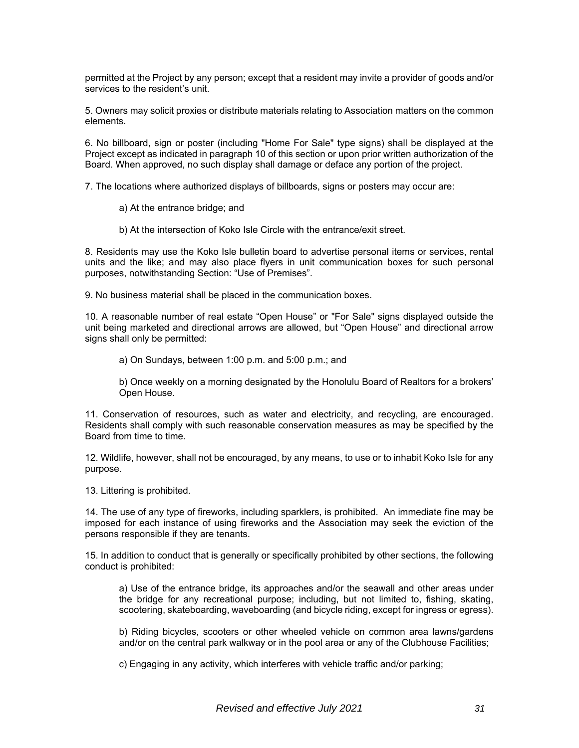permitted at the Project by any person; except that a resident may invite a provider of goods and/or services to the resident's unit.

5. Owners may solicit proxies or distribute materials relating to Association matters on the common elements.

6. No billboard, sign or poster (including "Home For Sale" type signs) shall be displayed at the Project except as indicated in paragraph 10 of this section or upon prior written authorization of the Board. When approved, no such display shall damage or deface any portion of the project.

7. The locations where authorized displays of billboards, signs or posters may occur are:

- a) At the entrance bridge; and
- b) At the intersection of Koko Isle Circle with the entrance/exit street.

8. Residents may use the Koko Isle bulletin board to advertise personal items or services, rental units and the like; and may also place flyers in unit communication boxes for such personal purposes, notwithstanding Section: "Use of Premises".

9. No business material shall be placed in the communication boxes.

10. A reasonable number of real estate "Open House" or "For Sale" signs displayed outside the unit being marketed and directional arrows are allowed, but "Open House" and directional arrow signs shall only be permitted:

a) On Sundays, between 1:00 p.m. and 5:00 p.m.; and

b) Once weekly on a morning designated by the Honolulu Board of Realtors for a brokers' Open House.

11. Conservation of resources, such as water and electricity, and recycling, are encouraged. Residents shall comply with such reasonable conservation measures as may be specified by the Board from time to time.

12. Wildlife, however, shall not be encouraged, by any means, to use or to inhabit Koko Isle for any purpose.

13. Littering is prohibited.

14. The use of any type of fireworks, including sparklers, is prohibited. An immediate fine may be imposed for each instance of using fireworks and the Association may seek the eviction of the persons responsible if they are tenants.

15. In addition to conduct that is generally or specifically prohibited by other sections, the following conduct is prohibited:

a) Use of the entrance bridge, its approaches and/or the seawall and other areas under the bridge for any recreational purpose; including, but not limited to, fishing, skating, scootering, skateboarding, waveboarding (and bicycle riding, except for ingress or egress).

b) Riding bicycles, scooters or other wheeled vehicle on common area lawns/gardens and/or on the central park walkway or in the pool area or any of the Clubhouse Facilities;

c) Engaging in any activity, which interferes with vehicle traffic and/or parking;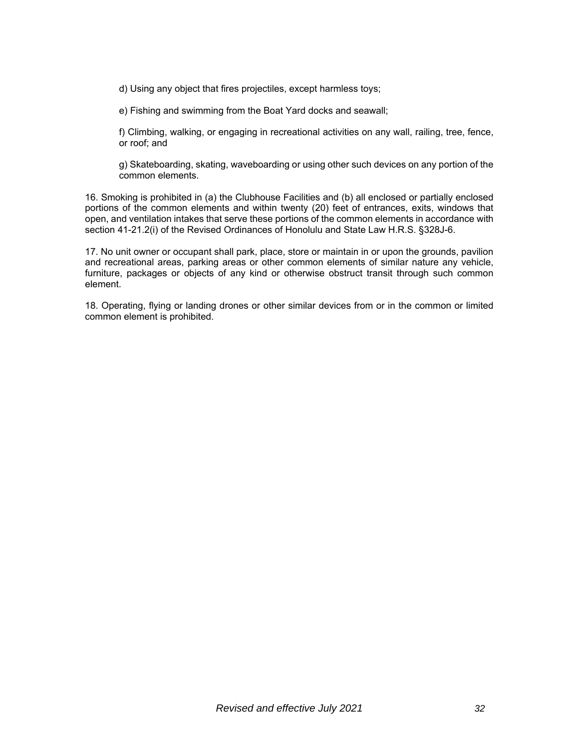d) Using any object that fires projectiles, except harmless toys;

e) Fishing and swimming from the Boat Yard docks and seawall;

f) Climbing, walking, or engaging in recreational activities on any wall, railing, tree, fence, or roof; and

g) Skateboarding, skating, waveboarding or using other such devices on any portion of the common elements.

16. Smoking is prohibited in (a) the Clubhouse Facilities and (b) all enclosed or partially enclosed portions of the common elements and within twenty (20) feet of entrances, exits, windows that open, and ventilation intakes that serve these portions of the common elements in accordance with section 41-21.2(i) of the Revised Ordinances of Honolulu and State Law H.R.S. §328J-6.

17. No unit owner or occupant shall park, place, store or maintain in or upon the grounds, pavilion and recreational areas, parking areas or other common elements of similar nature any vehicle, furniture, packages or objects of any kind or otherwise obstruct transit through such common element.

18. Operating, flying or landing drones or other similar devices from or in the common or limited common element is prohibited.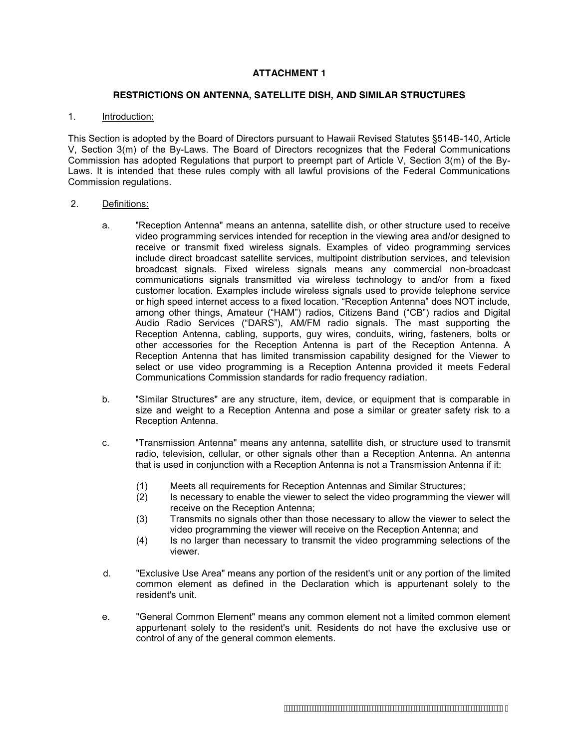#### **ATTACHMENT 1**

#### **RESTRICTIONS ON ANTENNA, SATELLITE DISH, AND SIMILAR STRUCTURES**

#### 1. Introduction:

This Section is adopted by the Board of Directors pursuant to Hawaii Revised Statutes §514B-140, Article V, Section 3(m) of the By-Laws. The Board of Directors recognizes that the Federal Communications Commission has adopted Regulations that purport to preempt part of Article V, Section 3(m) of the By-Laws. It is intended that these rules comply with all lawful provisions of the Federal Communications Commission regulations.

#### 2. Definitions:

- a. "Reception Antenna" means an antenna, satellite dish, or other structure used to receive video programming services intended for reception in the viewing area and/or designed to receive or transmit fixed wireless signals. Examples of video programming services include direct broadcast satellite services, multipoint distribution services, and television broadcast signals. Fixed wireless signals means any commercial non-broadcast communications signals transmitted via wireless technology to and/or from a fixed customer location. Examples include wireless signals used to provide telephone service or high speed internet access to a fixed location. "Reception Antenna" does NOT include, among other things, Amateur ("HAM") radios, Citizens Band ("CB") radios and Digital Audio Radio Services ("DARS"), AM/FM radio signals. The mast supporting the Reception Antenna, cabling, supports, guy wires, conduits, wiring, fasteners, bolts or other accessories for the Reception Antenna is part of the Reception Antenna. A Reception Antenna that has limited transmission capability designed for the Viewer to select or use video programming is a Reception Antenna provided it meets Federal Communications Commission standards for radio frequency radiation.
- b. "Similar Structures" are any structure, item, device, or equipment that is comparable in size and weight to a Reception Antenna and pose a similar or greater safety risk to a Reception Antenna.
- c. "Transmission Antenna" means any antenna, satellite dish, or structure used to transmit radio, television, cellular, or other signals other than a Reception Antenna. An antenna that is used in conjunction with a Reception Antenna is not a Transmission Antenna if it:
	- (1) Meets all requirements for Reception Antennas and Similar Structures;
	- (2) Is necessary to enable the viewer to select the video programming the viewer will receive on the Reception Antenna;
	- (3) Transmits no signals other than those necessary to allow the viewer to select the video programming the viewer will receive on the Reception Antenna; and
	- (4) Is no larger than necessary to transmit the video programming selections of the viewer.
- d. "Exclusive Use Area" means any portion of the resident's unit or any portion of the limited common element as defined in the Declaration which is appurtenant solely to the resident's unit.
- e. "General Common Element" means any common element not a limited common element appurtenant solely to the resident's unit. Residents do not have the exclusive use or control of any of the general common elements.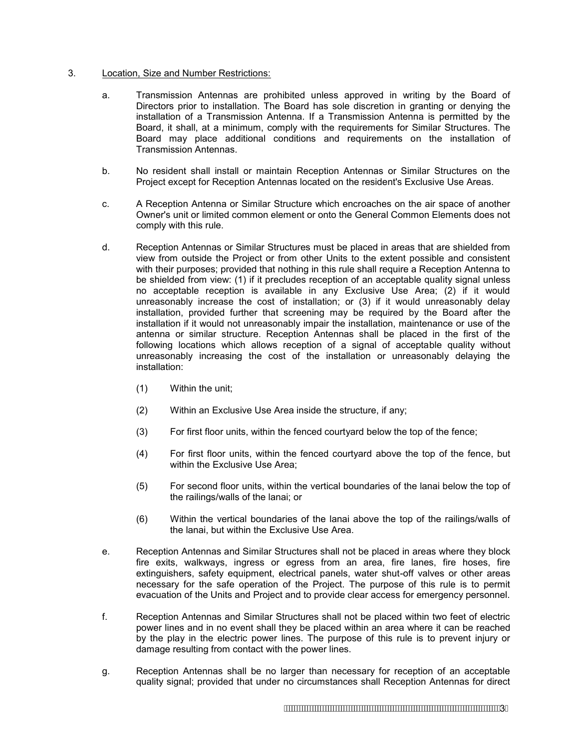#### 3. Location, Size and Number Restrictions:

- a. Transmission Antennas are prohibited unless approved in writing by the Board of Directors prior to installation. The Board has sole discretion in granting or denying the installation of a Transmission Antenna. If a Transmission Antenna is permitted by the Board, it shall, at a minimum, comply with the requirements for Similar Structures. The Board may place additional conditions and requirements on the installation of Transmission Antennas.
- b. No resident shall install or maintain Reception Antennas or Similar Structures on the Project except for Reception Antennas located on the resident's Exclusive Use Areas.
- c. A Reception Antenna or Similar Structure which encroaches on the air space of another Owner's unit or limited common element or onto the General Common Elements does not comply with this rule.
- d. Reception Antennas or Similar Structures must be placed in areas that are shielded from view from outside the Project or from other Units to the extent possible and consistent with their purposes; provided that nothing in this rule shall require a Reception Antenna to be shielded from view: (1) if it precludes reception of an acceptable quality signal unless no acceptable reception is available in any Exclusive Use Area; (2) if it would unreasonably increase the cost of installation; or (3) if it would unreasonably delay installation, provided further that screening may be required by the Board after the installation if it would not unreasonably impair the installation, maintenance or use of the antenna or similar structure. Reception Antennas shall be placed in the first of the following locations which allows reception of a signal of acceptable quality without unreasonably increasing the cost of the installation or unreasonably delaying the installation:
	- (1) Within the unit;
	- (2) Within an Exclusive Use Area inside the structure, if any;
	- (3) For first floor units, within the fenced courtyard below the top of the fence;
	- (4) For first floor units, within the fenced courtyard above the top of the fence, but within the Exclusive Use Area;
	- (5) For second floor units, within the vertical boundaries of the lanai below the top of the railings/walls of the lanai; or
	- (6) Within the vertical boundaries of the lanai above the top of the railings/walls of the lanai, but within the Exclusive Use Area.
- e. Reception Antennas and Similar Structures shall not be placed in areas where they block fire exits, walkways, ingress or egress from an area, fire lanes, fire hoses, fire extinguishers, safety equipment, electrical panels, water shut-off valves or other areas necessary for the safe operation of the Project. The purpose of this rule is to permit evacuation of the Units and Project and to provide clear access for emergency personnel.
- f. Reception Antennas and Similar Structures shall not be placed within two feet of electric power lines and in no event shall they be placed within an area where it can be reached by the play in the electric power lines. The purpose of this rule is to prevent injury or damage resulting from contact with the power lines.
- g. Reception Antennas shall be no larger than necessary for reception of an acceptable quality signal; provided that under no circumstances shall Reception Antennas for direct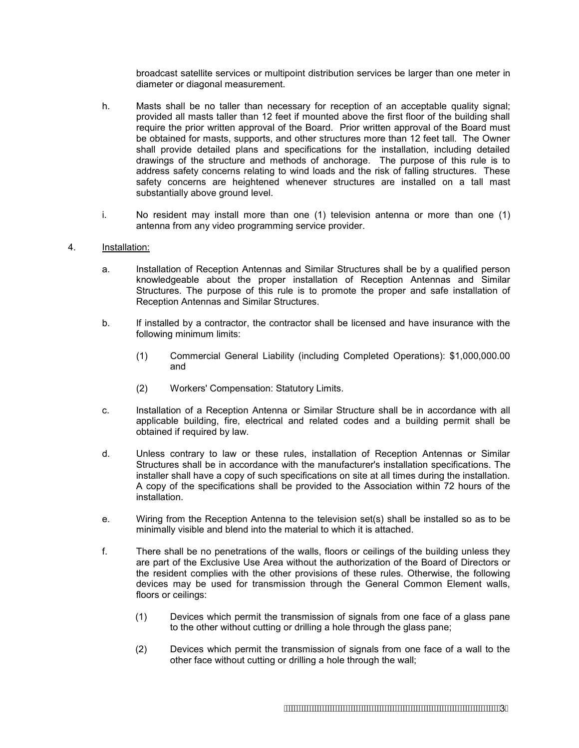broadcast satellite services or multipoint distribution services be larger than one meter in diameter or diagonal measurement.

- h. Masts shall be no taller than necessary for reception of an acceptable quality signal; provided all masts taller than 12 feet if mounted above the first floor of the building shall require the prior written approval of the Board. Prior written approval of the Board must be obtained for masts, supports, and other structures more than 12 feet tall. The Owner shall provide detailed plans and specifications for the installation, including detailed drawings of the structure and methods of anchorage. The purpose of this rule is to address safety concerns relating to wind loads and the risk of falling structures. These safety concerns are heightened whenever structures are installed on a tall mast substantially above ground level.
- i. No resident may install more than one (1) television antenna or more than one (1) antenna from any video programming service provider.

#### 4. Installation:

- a. Installation of Reception Antennas and Similar Structures shall be by a qualified person knowledgeable about the proper installation of Reception Antennas and Similar Structures. The purpose of this rule is to promote the proper and safe installation of Reception Antennas and Similar Structures.
- b. If installed by a contractor, the contractor shall be licensed and have insurance with the following minimum limits:
	- (1) Commercial General Liability (including Completed Operations): \$1,000,000.00 and
	- (2) Workers' Compensation: Statutory Limits.
- c. Installation of a Reception Antenna or Similar Structure shall be in accordance with all applicable building, fire, electrical and related codes and a building permit shall be obtained if required by law.
- d. Unless contrary to law or these rules, installation of Reception Antennas or Similar Structures shall be in accordance with the manufacturer's installation specifications. The installer shall have a copy of such specifications on site at all times during the installation. A copy of the specifications shall be provided to the Association within 72 hours of the installation.
- e. Wiring from the Reception Antenna to the television set(s) shall be installed so as to be minimally visible and blend into the material to which it is attached.
- f. There shall be no penetrations of the walls, floors or ceilings of the building unless they are part of the Exclusive Use Area without the authorization of the Board of Directors or the resident complies with the other provisions of these rules. Otherwise, the following devices may be used for transmission through the General Common Element walls, floors or ceilings:
	- (1) Devices which permit the transmission of signals from one face of a glass pane to the other without cutting or drilling a hole through the glass pane;
	- (2) Devices which permit the transmission of signals from one face of a wall to the other face without cutting or drilling a hole through the wall;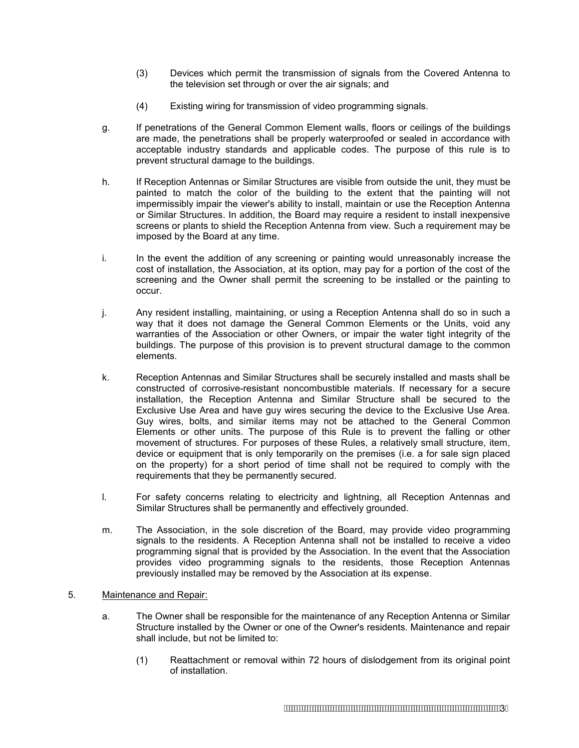- (3) Devices which permit the transmission of signals from the Covered Antenna to the television set through or over the air signals; and
- (4) Existing wiring for transmission of video programming signals.
- g. If penetrations of the General Common Element walls, floors or ceilings of the buildings are made, the penetrations shall be properly waterproofed or sealed in accordance with acceptable industry standards and applicable codes. The purpose of this rule is to prevent structural damage to the buildings.
- h. If Reception Antennas or Similar Structures are visible from outside the unit, they must be painted to match the color of the building to the extent that the painting will not impermissibly impair the viewer's ability to install, maintain or use the Reception Antenna or Similar Structures. In addition, the Board may require a resident to install inexpensive screens or plants to shield the Reception Antenna from view. Such a requirement may be imposed by the Board at any time.
- i. In the event the addition of any screening or painting would unreasonably increase the cost of installation, the Association, at its option, may pay for a portion of the cost of the screening and the Owner shall permit the screening to be installed or the painting to occur.
- j. Any resident installing, maintaining, or using a Reception Antenna shall do so in such a way that it does not damage the General Common Elements or the Units, void any warranties of the Association or other Owners, or impair the water tight integrity of the buildings. The purpose of this provision is to prevent structural damage to the common elements.
- k. Reception Antennas and Similar Structures shall be securely installed and masts shall be constructed of corrosive-resistant noncombustible materials. If necessary for a secure installation, the Reception Antenna and Similar Structure shall be secured to the Exclusive Use Area and have guy wires securing the device to the Exclusive Use Area. Guy wires, bolts, and similar items may not be attached to the General Common Elements or other units. The purpose of this Rule is to prevent the falling or other movement of structures. For purposes of these Rules, a relatively small structure, item, device or equipment that is only temporarily on the premises (i.e. a for sale sign placed on the property) for a short period of time shall not be required to comply with the requirements that they be permanently secured.
- l. For safety concerns relating to electricity and lightning, all Reception Antennas and Similar Structures shall be permanently and effectively grounded.
- m. The Association, in the sole discretion of the Board, may provide video programming signals to the residents. A Reception Antenna shall not be installed to receive a video programming signal that is provided by the Association. In the event that the Association provides video programming signals to the residents, those Reception Antennas previously installed may be removed by the Association at its expense.
- 5. Maintenance and Repair:
	- a. The Owner shall be responsible for the maintenance of any Reception Antenna or Similar Structure installed by the Owner or one of the Owner's residents. Maintenance and repair shall include, but not be limited to:
		- (1) Reattachment or removal within 72 hours of dislodgement from its original point of installation.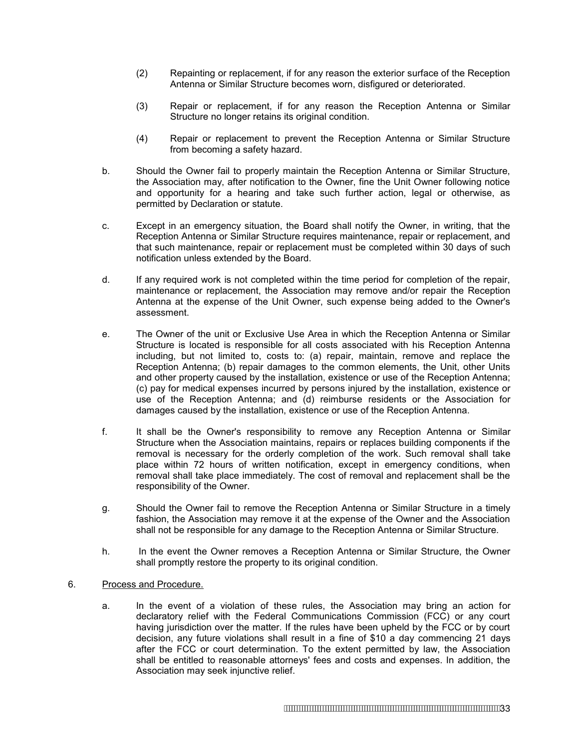- (2) Repainting or replacement, if for any reason the exterior surface of the Reception Antenna or Similar Structure becomes worn, disfigured or deteriorated.
- (3) Repair or replacement, if for any reason the Reception Antenna or Similar Structure no longer retains its original condition.
- (4) Repair or replacement to prevent the Reception Antenna or Similar Structure from becoming a safety hazard.
- b. Should the Owner fail to properly maintain the Reception Antenna or Similar Structure, the Association may, after notification to the Owner, fine the Unit Owner following notice and opportunity for a hearing and take such further action, legal or otherwise, as permitted by Declaration or statute.
- c. Except in an emergency situation, the Board shall notify the Owner, in writing, that the Reception Antenna or Similar Structure requires maintenance, repair or replacement, and that such maintenance, repair or replacement must be completed within 30 days of such notification unless extended by the Board.
- d. If any required work is not completed within the time period for completion of the repair, maintenance or replacement, the Association may remove and/or repair the Reception Antenna at the expense of the Unit Owner, such expense being added to the Owner's assessment.
- e. The Owner of the unit or Exclusive Use Area in which the Reception Antenna or Similar Structure is located is responsible for all costs associated with his Reception Antenna including, but not limited to, costs to: (a) repair, maintain, remove and replace the Reception Antenna; (b) repair damages to the common elements, the Unit, other Units and other property caused by the installation, existence or use of the Reception Antenna; (c) pay for medical expenses incurred by persons injured by the installation, existence or use of the Reception Antenna; and (d) reimburse residents or the Association for damages caused by the installation, existence or use of the Reception Antenna.
- f. It shall be the Owner's responsibility to remove any Reception Antenna or Similar Structure when the Association maintains, repairs or replaces building components if the removal is necessary for the orderly completion of the work. Such removal shall take place within 72 hours of written notification, except in emergency conditions, when removal shall take place immediately. The cost of removal and replacement shall be the responsibility of the Owner.
- g. Should the Owner fail to remove the Reception Antenna or Similar Structure in a timely fashion, the Association may remove it at the expense of the Owner and the Association shall not be responsible for any damage to the Reception Antenna or Similar Structure.
- h. In the event the Owner removes a Reception Antenna or Similar Structure, the Owner shall promptly restore the property to its original condition.

#### 6. Process and Procedure.

a. In the event of a violation of these rules, the Association may bring an action for declaratory relief with the Federal Communications Commission (FCC) or any court having jurisdiction over the matter. If the rules have been upheld by the FCC or by court decision, any future violations shall result in a fine of \$10 a day commencing 21 days after the FCC or court determination. To the extent permitted by law, the Association shall be entitled to reasonable attorneys' fees and costs and expenses. In addition, the Association may seek injunctive relief.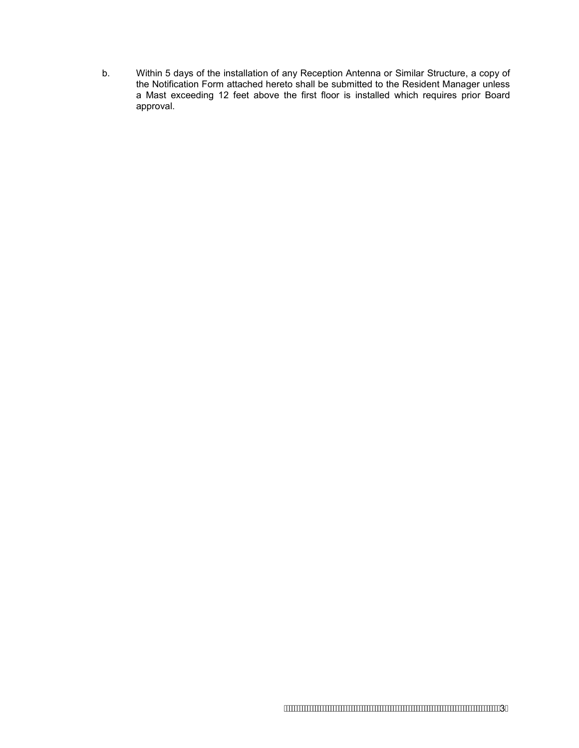b. Within 5 days of the installation of any Reception Antenna or Similar Structure, a copy of the Notification Form attached hereto shall be submitted to the Resident Manager unless a Mast exceeding 12 feet above the first floor is installed which requires prior Board approval.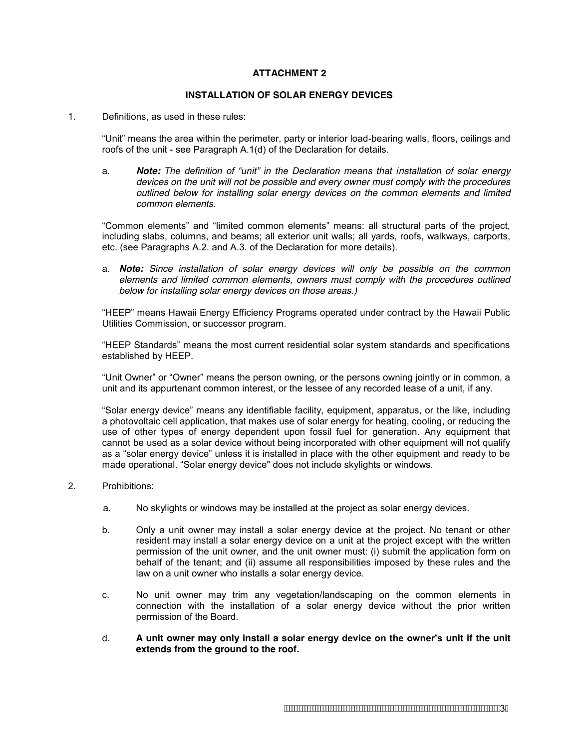#### **ATTACHMENT 2**

#### **INSTALLATION OF SOLAR ENERGY DEVICES**

#### 1. Definitions, as used in these rules:

"Unit" means the area within the perimeter, party or interior load-bearing walls, floors, ceilings and roofs of the unit - see Paragraph A.1(d) of the Declaration for details.

a. *Note: The definition of "unit" in the Declaration means that installation of solar energy devices on the unit will not be possible and every owner must comply with the procedures outlined below for installing solar energy devices on the common elements and limited common elements.* 

"Common elements" and "limited common elements" means: all structural parts of the project, including slabs, columns, and beams; all exterior unit walls; all yards, roofs, walkways, carports, etc. (see Paragraphs A.2. and A.3. of the Declaration for more details).

a. *Note: Since installation of solar energy devices will only be possible on the common elements and limited common elements, owners must comply with the procedures outlined below for installing solar energy devices on those areas.)* 

"HEEP" means Hawaii Energy Efficiency Programs operated under contract by the Hawaii Public Utilities Commission, or successor program.

"HEEP Standards" means the most current residential solar system standards and specifications established by HEEP.

"Unit Owner" or "Owner" means the person owning, or the persons owning jointly or in common, a unit and its appurtenant common interest, or the lessee of any recorded lease of a unit, if any.

"Solar energy device" means any identifiable facility, equipment, apparatus, or the like, including a photovoltaic cell application, that makes use of solar energy for heating, cooling, or reducing the use of other types of energy dependent upon fossil fuel for generation. Any equipment that cannot be used as a solar device without being incorporated with other equipment will not qualify as a "solar energy device" unless it is installed in place with the other equipment and ready to be made operational. "Solar energy device" does not include skylights or windows.

#### 2. Prohibitions:

- a. No skylights or windows may be installed at the project as solar energy devices.
- b. Only a unit owner may install a solar energy device at the project. No tenant or other resident may install a solar energy device on a unit at the project except with the written permission of the unit owner, and the unit owner must: (i) submit the application form on behalf of the tenant; and (ii) assume all responsibilities imposed by these rules and the law on a unit owner who installs a solar energy device.
- c. No unit owner may trim any vegetation/landscaping on the common elements in connection with the installation of a solar energy device without the prior written permission of the Board.
- d. **A unit owner may only install a solar energy device on the owner's unit if the unit extends from the ground to the roof.**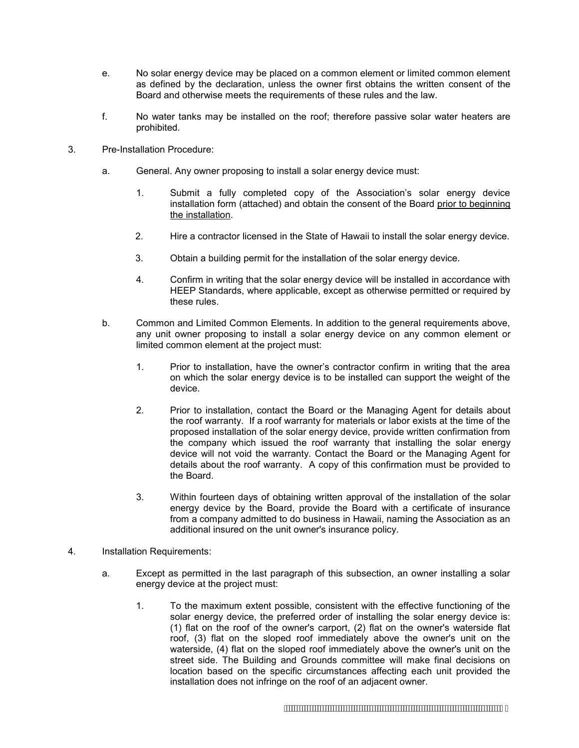- e. No solar energy device may be placed on a common element or limited common element as defined by the declaration, unless the owner first obtains the written consent of the Board and otherwise meets the requirements of these rules and the law.
- f. No water tanks may be installed on the roof; therefore passive solar water heaters are prohibited.
- 3. Pre-Installation Procedure:
	- a. General. Any owner proposing to install a solar energy device must:
		- 1. Submit a fully completed copy of the Association's solar energy device installation form (attached) and obtain the consent of the Board prior to beginning the installation.
		- 2. Hire a contractor licensed in the State of Hawaii to install the solar energy device.
		- 3. Obtain a building permit for the installation of the solar energy device.
		- 4. Confirm in writing that the solar energy device will be installed in accordance with HEEP Standards, where applicable, except as otherwise permitted or required by these rules.
	- b. Common and Limited Common Elements. In addition to the general requirements above, any unit owner proposing to install a solar energy device on any common element or limited common element at the project must:
		- 1. Prior to installation, have the owner's contractor confirm in writing that the area on which the solar energy device is to be installed can support the weight of the device.
		- 2. Prior to installation, contact the Board or the Managing Agent for details about the roof warranty. If a roof warranty for materials or labor exists at the time of the proposed installation of the solar energy device, provide written confirmation from the company which issued the roof warranty that installing the solar energy device will not void the warranty. Contact the Board or the Managing Agent for details about the roof warranty. A copy of this confirmation must be provided to the Board.
		- 3. Within fourteen days of obtaining written approval of the installation of the solar energy device by the Board, provide the Board with a certificate of insurance from a company admitted to do business in Hawaii, naming the Association as an additional insured on the unit owner's insurance policy.
- 4. Installation Requirements:
	- a. Except as permitted in the last paragraph of this subsection, an owner installing a solar energy device at the project must:
		- 1. To the maximum extent possible, consistent with the effective functioning of the solar energy device, the preferred order of installing the solar energy device is: (1) flat on the roof of the owner's carport, (2) flat on the owner's waterside flat roof, (3) flat on the sloped roof immediately above the owner's unit on the waterside, (4) flat on the sloped roof immediately above the owner's unit on the street side. The Building and Grounds committee will make final decisions on location based on the specific circumstances affecting each unit provided the installation does not infringe on the roof of an adjacent owner.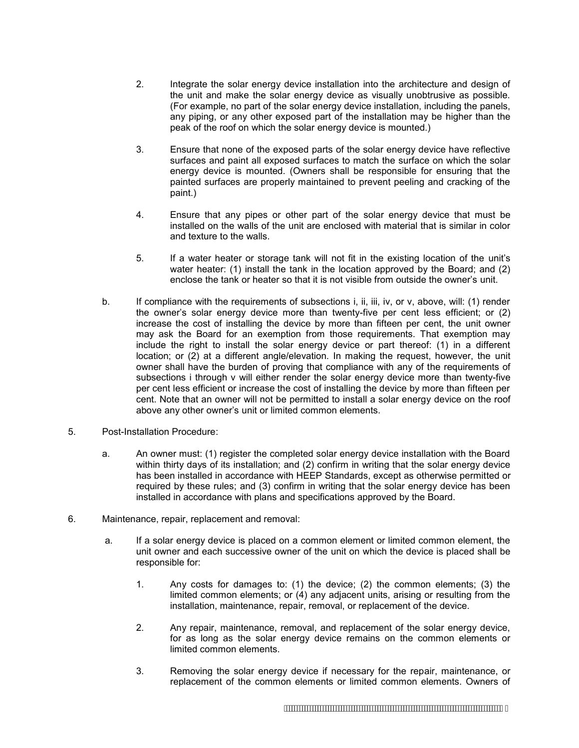- 2. Integrate the solar energy device installation into the architecture and design of the unit and make the solar energy device as visually unobtrusive as possible. (For example, no part of the solar energy device installation, including the panels, any piping, or any other exposed part of the installation may be higher than the peak of the roof on which the solar energy device is mounted.)
- 3. Ensure that none of the exposed parts of the solar energy device have reflective surfaces and paint all exposed surfaces to match the surface on which the solar energy device is mounted. (Owners shall be responsible for ensuring that the painted surfaces are properly maintained to prevent peeling and cracking of the paint.)
- 4. Ensure that any pipes or other part of the solar energy device that must be installed on the walls of the unit are enclosed with material that is similar in color and texture to the walls.
- 5. If a water heater or storage tank will not fit in the existing location of the unit's water heater: (1) install the tank in the location approved by the Board; and (2) enclose the tank or heater so that it is not visible from outside the owner's unit.
- b. If compliance with the requirements of subsections i, ii, iii, iv, or v, above, will: (1) render the owner's solar energy device more than twenty-five per cent less efficient; or (2) increase the cost of installing the device by more than fifteen per cent, the unit owner may ask the Board for an exemption from those requirements. That exemption may include the right to install the solar energy device or part thereof: (1) in a different location; or (2) at a different angle/elevation. In making the request, however, the unit owner shall have the burden of proving that compliance with any of the requirements of subsections i through v will either render the solar energy device more than twenty-five per cent less efficient or increase the cost of installing the device by more than fifteen per cent. Note that an owner will not be permitted to install a solar energy device on the roof above any other owner's unit or limited common elements.
- 5. Post-Installation Procedure:
	- a. An owner must: (1) register the completed solar energy device installation with the Board within thirty days of its installation; and (2) confirm in writing that the solar energy device has been installed in accordance with HEEP Standards, except as otherwise permitted or required by these rules; and (3) confirm in writing that the solar energy device has been installed in accordance with plans and specifications approved by the Board.
- 6. Maintenance, repair, replacement and removal:
	- a. If a solar energy device is placed on a common element or limited common element, the unit owner and each successive owner of the unit on which the device is placed shall be responsible for:
		- 1. Any costs for damages to: (1) the device; (2) the common elements; (3) the limited common elements; or (4) any adjacent units, arising or resulting from the installation, maintenance, repair, removal, or replacement of the device.
		- 2. Any repair, maintenance, removal, and replacement of the solar energy device, for as long as the solar energy device remains on the common elements or limited common elements.
		- 3. Removing the solar energy device if necessary for the repair, maintenance, or replacement of the common elements or limited common elements. Owners of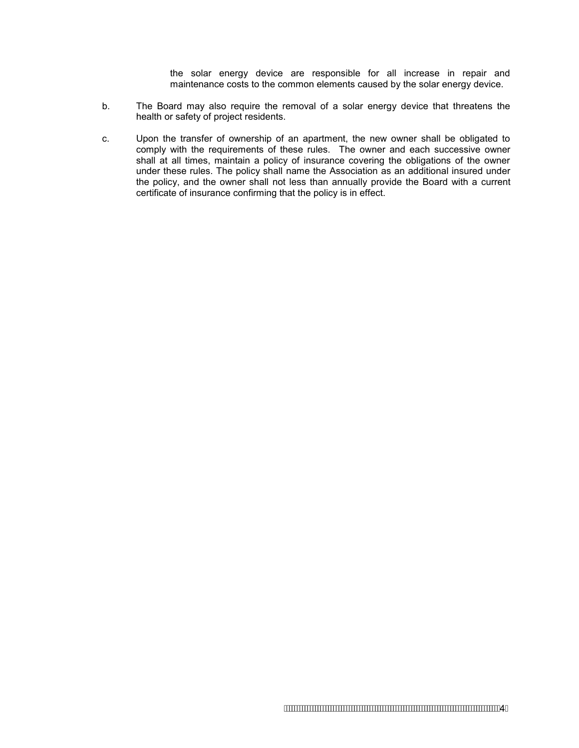the solar energy device are responsible for all increase in repair and maintenance costs to the common elements caused by the solar energy device.

- b. The Board may also require the removal of a solar energy device that threatens the health or safety of project residents.
- c. Upon the transfer of ownership of an apartment, the new owner shall be obligated to comply with the requirements of these rules. The owner and each successive owner shall at all times, maintain a policy of insurance covering the obligations of the owner under these rules. The policy shall name the Association as an additional insured under the policy, and the owner shall not less than annually provide the Board with a current certificate of insurance confirming that the policy is in effect.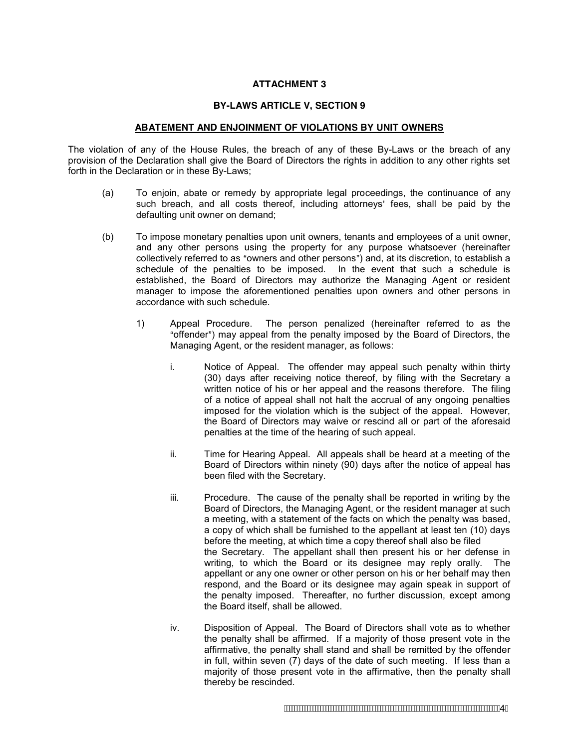#### **ATTACHMENT 3**

#### **BY-LAWS ARTICLE V, SECTION 9**

#### **ABATEMENT AND ENJOINMENT OF VIOLATIONS BY UNIT OWNERS**

The violation of any of the House Rules, the breach of any of these By-Laws or the breach of any provision of the Declaration shall give the Board of Directors the rights in addition to any other rights set forth in the Declaration or in these By-Laws;

- (a) To enjoin, abate or remedy by appropriate legal proceedings, the continuance of any such breach, and all costs thereof, including attorneys' fees, shall be paid by the defaulting unit owner on demand;
- (b) To impose monetary penalties upon unit owners, tenants and employees of a unit owner, and any other persons using the property for any purpose whatsoever (hereinafter collectively referred to as "owners and other persons") and, at its discretion, to establish a schedule of the penalties to be imposed. In the event that such a schedule is established, the Board of Directors may authorize the Managing Agent or resident manager to impose the aforementioned penalties upon owners and other persons in accordance with such schedule.
	- 1) Appeal Procedure. The person penalized (hereinafter referred to as the "offender") may appeal from the penalty imposed by the Board of Directors, the Managing Agent, or the resident manager, as follows:
		- i. Notice of Appeal. The offender may appeal such penalty within thirty (30) days after receiving notice thereof, by filing with the Secretary a written notice of his or her appeal and the reasons therefore. The filing of a notice of appeal shall not halt the accrual of any ongoing penalties imposed for the violation which is the subject of the appeal. However, the Board of Directors may waive or rescind all or part of the aforesaid penalties at the time of the hearing of such appeal.
		- ii. Time for Hearing Appeal. All appeals shall be heard at a meeting of the Board of Directors within ninety (90) days after the notice of appeal has been filed with the Secretary.
		- iii. Procedure. The cause of the penalty shall be reported in writing by the Board of Directors, the Managing Agent, or the resident manager at such a meeting, with a statement of the facts on which the penalty was based, a copy of which shall be furnished to the appellant at least ten (10) days before the meeting, at which time a copy thereof shall also be filed the Secretary. The appellant shall then present his or her defense in writing, to which the Board or its designee may reply orally. The appellant or any one owner or other person on his or her behalf may then respond, and the Board or its designee may again speak in support of the penalty imposed. Thereafter, no further discussion, except among the Board itself, shall be allowed.
		- iv. Disposition of Appeal. The Board of Directors shall vote as to whether the penalty shall be affirmed. If a majority of those present vote in the affirmative, the penalty shall stand and shall be remitted by the offender in full, within seven (7) days of the date of such meeting. If less than a majority of those present vote in the affirmative, then the penalty shall thereby be rescinded.

4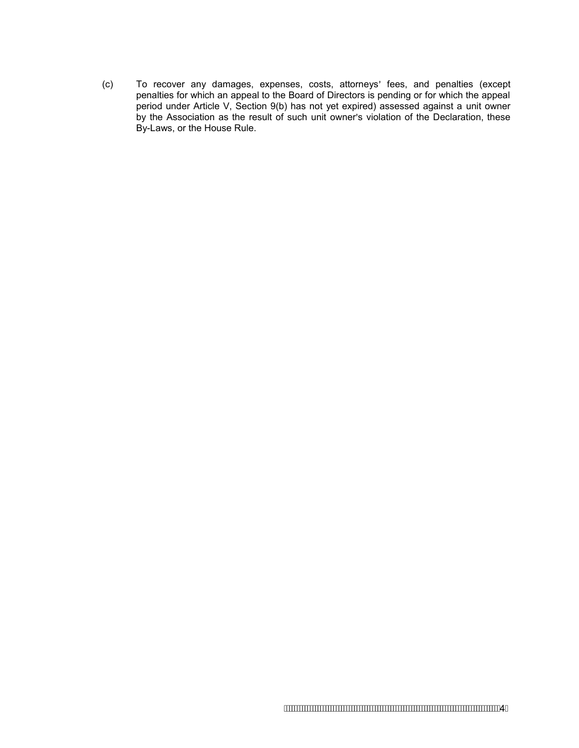(c) To recover any damages, expenses, costs, attorneys' fees, and penalties (except penalties for which an appeal to the Board of Directors is pending or for which the appeal period under Article V, Section 9(b) has not yet expired) assessed against a unit owner by the Association as the result of such unit owner's violation of the Declaration, these By-Laws, or the House Rule.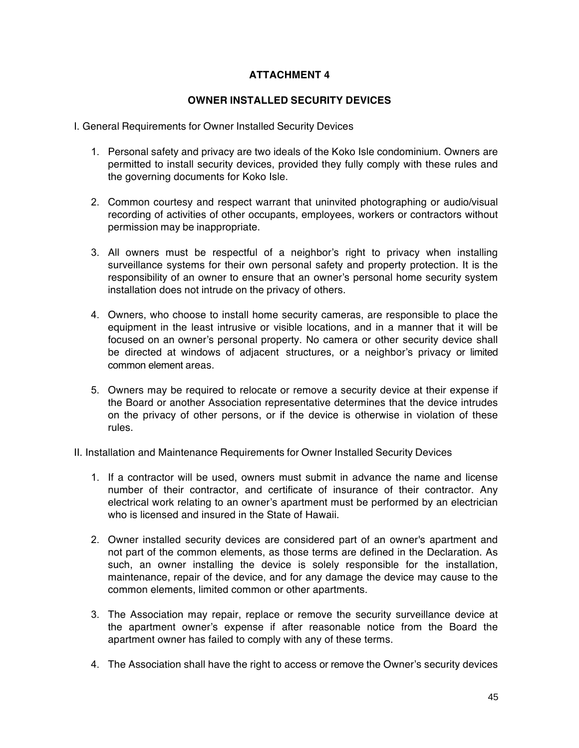## **ATTACHMENT 4**

### **OWNER INSTALLED SECURITY DEVICES**

- I. General Requirements for Owner Installed Security Devices
	- 1. Personal safety and privacy are two ideals of the Koko Isle condominium. Owners are permitted to install security devices, provided they fully comply with these rules and the governing documents for Koko Isle.
	- 2. Common courtesy and respect warrant that uninvited photographing or audio/visual recording of activities of other occupants, employees, workers or contractors without permission may be inappropriate.
	- 3. All owners must be respectful of a neighbor's right to privacy when installing surveillance systems for their own personal safety and property protection. It is the responsibility of an owner to ensure that an owner's personal home security system installation does not intrude on the privacy of others.
	- 4. Owners, who choose to install home security cameras, are responsible to place the equipment in the least intrusive or visible locations, and in a manner that it will be focused on an owner's personal property. No camera or other security device shall be directed at windows of adjacent structures, or a neighbor's privacy or limited common element areas.
	- 5. Owners may be required to relocate or remove a security device at their expense if the Board or another Association representative determines that the device intrudes on the privacy of other persons, or if the device is otherwise in violation of these rules.
- II. Installation and Maintenance Requirements for Owner Installed Security Devices
	- 1. If a contractor will be used, owners must submit in advance the name and license number of their contractor, and certificate of insurance of their contractor. Any electrical work relating to an owner's apartment must be performed by an electrician who is licensed and insured in the State of Hawaii.
	- 2. Owner installed security devices are considered part of an owner's apartment and not part of the common elements, as those terms are defined in the Declaration. As such, an owner installing the device is solely responsible for the installation, maintenance, repair of the device, and for any damage the device may cause to the common elements, limited common or other apartments.
	- 3. The Association may repair, replace or remove the security surveillance device at the apartment owner's expense if after reasonable notice from the Board the apartment owner has failed to comply with any of these terms.
	- 4. The Association shall have the right to access or remove the Owner's security devices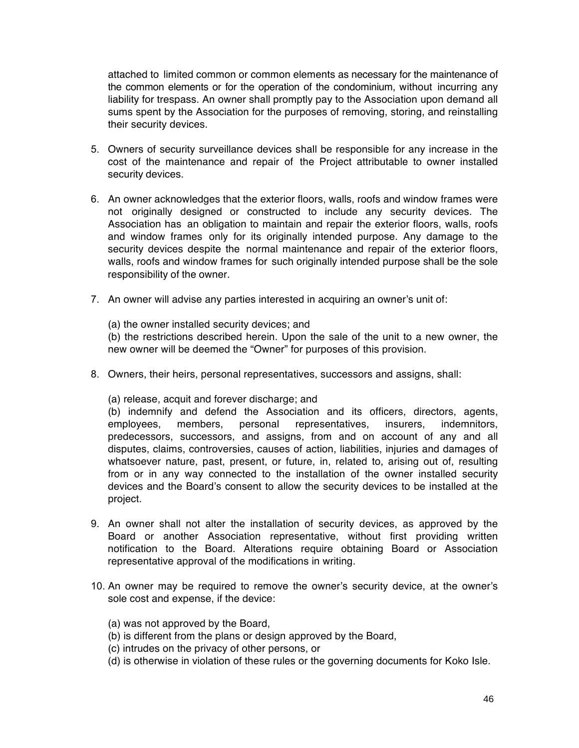attached to limited common or common elements as necessary for the maintenance of the common elements or for the operation of the condominium, without incurring any liability for trespass. An owner shall promptly pay to the Association upon demand all sums spent by the Association for the purposes of removing, storing, and reinstalling their security devices.

- 5. Owners of security surveillance devices shall be responsible for any increase in the cost of the maintenance and repair of the Project attributable to owner installed security devices.
- 6. An owner acknowledges that the exterior floors, walls, roofs and window frames were not originally designed or constructed to include any security devices. The Association has an obligation to maintain and repair the exterior floors, walls, roofs and window frames only for its originally intended purpose. Any damage to the security devices despite the normal maintenance and repair of the exterior floors, walls, roofs and window frames for such originally intended purpose shall be the sole responsibility of the owner.
- 7. An owner will advise any parties interested in acquiring an owner's unit of:
	- (a) the owner installed security devices; and

(b) the restrictions described herein. Upon the sale of the unit to a new owner, the new owner will be deemed the "Owner" for purposes of this provision.

- 8. Owners, their heirs, personal representatives, successors and assigns, shall:
	- (a) release, acquit and forever discharge; and

(b) indemnify and defend the Association and its officers, directors, agents, employees, members, personal representatives, insurers, indemnitors, predecessors, successors, and assigns, from and on account of any and all disputes, claims, controversies, causes of action, liabilities, injuries and damages of whatsoever nature, past, present, or future, in, related to, arising out of, resulting from or in any way connected to the installation of the owner installed security devices and the Board's consent to allow the security devices to be installed at the project.

- 9. An owner shall not alter the installation of security devices, as approved by the Board or another Association representative, without first providing written notification to the Board. Alterations require obtaining Board or Association representative approval of the modifications in writing.
- 10. An owner may be required to remove the owner's security device, at the owner's sole cost and expense, if the device:
	- (a) was not approved by the Board,
	- (b) is different from the plans or design approved by the Board,
	- (c) intrudes on the privacy of other persons, or
	- (d) is otherwise in violation of these rules or the governing documents for Koko Isle.